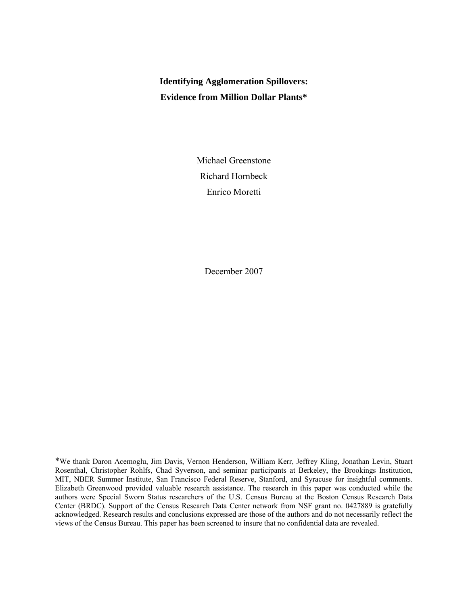# **Identifying Agglomeration Spillovers: Evidence from Million Dollar Plants\***

Michael Greenstone Richard Hornbeck Enrico Moretti

December 2007

\*We thank Daron Acemoglu, Jim Davis, Vernon Henderson, William Kerr, Jeffrey Kling, Jonathan Levin, Stuart Rosenthal, Christopher Rohlfs, Chad Syverson, and seminar participants at Berkeley, the Brookings Institution, MIT, NBER Summer Institute, San Francisco Federal Reserve, Stanford, and Syracuse for insightful comments. Elizabeth Greenwood provided valuable research assistance. The research in this paper was conducted while the authors were Special Sworn Status researchers of the U.S. Census Bureau at the Boston Census Research Data Center (BRDC). Support of the Census Research Data Center network from NSF grant no. 0427889 is gratefully acknowledged. Research results and conclusions expressed are those of the authors and do not necessarily reflect the views of the Census Bureau. This paper has been screened to insure that no confidential data are revealed.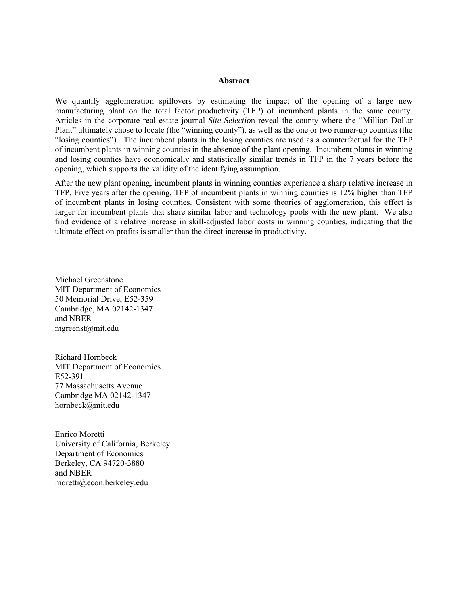#### **Abstract**

We quantify agglomeration spillovers by estimating the impact of the opening of a large new manufacturing plant on the total factor productivity (TFP) of incumbent plants in the same county. Articles in the corporate real estate journal *Site Selectio*n reveal the county where the "Million Dollar Plant" ultimately chose to locate (the "winning county"), as well as the one or two runner-up counties (the "losing counties"). The incumbent plants in the losing counties are used as a counterfactual for the TFP of incumbent plants in winning counties in the absence of the plant opening. Incumbent plants in winning and losing counties have economically and statistically similar trends in TFP in the 7 years before the opening, which supports the validity of the identifying assumption.

After the new plant opening, incumbent plants in winning counties experience a sharp relative increase in TFP. Five years after the opening, TFP of incumbent plants in winning counties is 12% higher than TFP of incumbent plants in losing counties. Consistent with some theories of agglomeration, this effect is larger for incumbent plants that share similar labor and technology pools with the new plant. We also find evidence of a relative increase in skill-adjusted labor costs in winning counties, indicating that the ultimate effect on profits is smaller than the direct increase in productivity.

Michael Greenstone MIT Department of Economics 50 Memorial Drive, E52-359 Cambridge, MA 02142-1347 and NBER mgreenst@mit.edu

Richard Hornbeck MIT Department of Economics E52-391 77 Massachusetts Avenue Cambridge MA 02142-1347 hornbeck@mit.edu

Enrico Moretti University of California, Berkeley Department of Economics Berkeley, CA 94720-3880 and NBER moretti@econ.berkeley.edu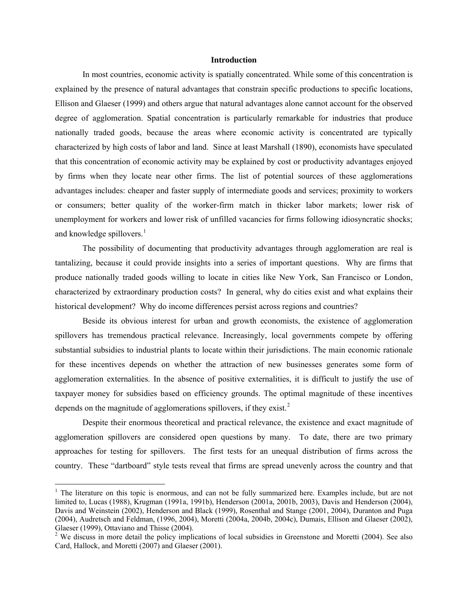#### **Introduction**

In most countries, economic activity is spatially concentrated. While some of this concentration is explained by the presence of natural advantages that constrain specific productions to specific locations, Ellison and Glaeser (1999) and others argue that natural advantages alone cannot account for the observed degree of agglomeration. Spatial concentration is particularly remarkable for industries that produce nationally traded goods, because the areas where economic activity is concentrated are typically characterized by high costs of labor and land. Since at least Marshall (1890), economists have speculated that this concentration of economic activity may be explained by cost or productivity advantages enjoyed by firms when they locate near other firms. The list of potential sources of these agglomerations advantages includes: cheaper and faster supply of intermediate goods and services; proximity to workers or consumers; better quality of the worker-firm match in thicker labor markets; lower risk of unemployment for workers and lower risk of unfilled vacancies for firms following idiosyncratic shocks; and knowledge spillovers.<sup>[1](#page-2-0)</sup>

The possibility of documenting that productivity advantages through agglomeration are real is tantalizing, because it could provide insights into a series of important questions. Why are firms that produce nationally traded goods willing to locate in cities like New York, San Francisco or London, characterized by extraordinary production costs? In general, why do cities exist and what explains their historical development? Why do income differences persist across regions and countries?

Beside its obvious interest for urban and growth economists, the existence of agglomeration spillovers has tremendous practical relevance. Increasingly, local governments compete by offering substantial subsidies to industrial plants to locate within their jurisdictions. The main economic rationale for these incentives depends on whether the attraction of new businesses generates some form of agglomeration externalities. In the absence of positive externalities, it is difficult to justify the use of taxpayer money for subsidies based on efficiency grounds. The optimal magnitude of these incentives depends on the magnitude of agglomerations spillovers, if they exist. $2$ 

Despite their enormous theoretical and practical relevance, the existence and exact magnitude of agglomeration spillovers are considered open questions by many. To date, there are two primary approaches for testing for spillovers. The first tests for an unequal distribution of firms across the country. These "dartboard" style tests reveal that firms are spread unevenly across the country and that

<span id="page-2-0"></span><sup>&</sup>lt;sup>1</sup> The literature on this topic is enormous, and can not be fully summarized here. Examples include, but are not limited to, Lucas (1988), Krugman (1991a, 1991b), Henderson (2001a, 2001b, 2003), Davis and Henderson (2004), Davis and Weinstein (2002), Henderson and Black (1999), Rosenthal and Stange (2001, 2004), Duranton and Puga (2004), Audretsch and Feldman, (1996, 2004), Moretti (2004a, 2004b, 2004c), Dumais, Ellison and Glaeser (2002), Glaeser (1999), Ottaviano and Thisse (2004).

<span id="page-2-1"></span><sup>&</sup>lt;sup>2</sup> We discuss in more detail the policy implications of local subsidies in Greenstone and Moretti (2004). See also Card, Hallock, and Moretti (2007) and Glaeser (2001).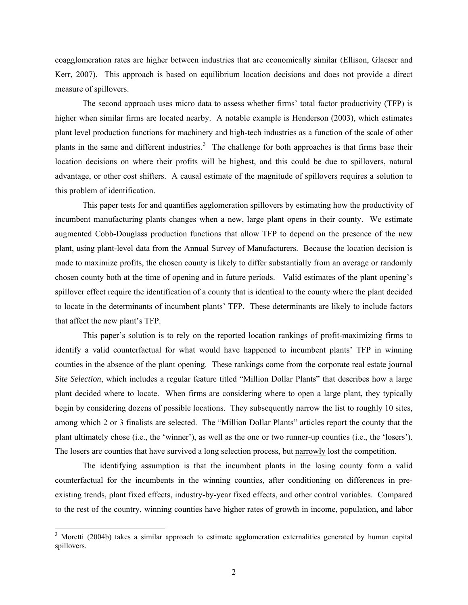coagglomeration rates are higher between industries that are economically similar (Ellison, Glaeser and Kerr, 2007). This approach is based on equilibrium location decisions and does not provide a direct measure of spillovers.

The second approach uses micro data to assess whether firms' total factor productivity (TFP) is higher when similar firms are located nearby. A notable example is Henderson (2003), which estimates plant level production functions for machinery and high-tech industries as a function of the scale of other plants in the same and different industries.<sup>[3](#page-3-0)</sup> The challenge for both approaches is that firms base their location decisions on where their profits will be highest, and this could be due to spillovers, natural advantage, or other cost shifters. A causal estimate of the magnitude of spillovers requires a solution to this problem of identification.

This paper tests for and quantifies agglomeration spillovers by estimating how the productivity of incumbent manufacturing plants changes when a new, large plant opens in their county. We estimate augmented Cobb-Douglass production functions that allow TFP to depend on the presence of the new plant, using plant-level data from the Annual Survey of Manufacturers. Because the location decision is made to maximize profits, the chosen county is likely to differ substantially from an average or randomly chosen county both at the time of opening and in future periods. Valid estimates of the plant opening's spillover effect require the identification of a county that is identical to the county where the plant decided to locate in the determinants of incumbent plants' TFP. These determinants are likely to include factors that affect the new plant's TFP.

This paper's solution is to rely on the reported location rankings of profit-maximizing firms to identify a valid counterfactual for what would have happened to incumbent plants' TFP in winning counties in the absence of the plant opening. These rankings come from the corporate real estate journal *Site Selection*, which includes a regular feature titled "Million Dollar Plants" that describes how a large plant decided where to locate. When firms are considering where to open a large plant, they typically begin by considering dozens of possible locations. They subsequently narrow the list to roughly 10 sites, among which 2 or 3 finalists are selected. The "Million Dollar Plants" articles report the county that the plant ultimately chose (i.e., the 'winner'), as well as the one or two runner-up counties (i.e., the 'losers'). The losers are counties that have survived a long selection process, but narrowly lost the competition.

The identifying assumption is that the incumbent plants in the losing county form a valid counterfactual for the incumbents in the winning counties, after conditioning on differences in preexisting trends, plant fixed effects, industry-by-year fixed effects, and other control variables. Compared to the rest of the country, winning counties have higher rates of growth in income, population, and labor

<span id="page-3-0"></span><sup>&</sup>lt;sup>3</sup> Moretti (2004b) takes a similar approach to estimate agglomeration externalities generated by human capital spillovers.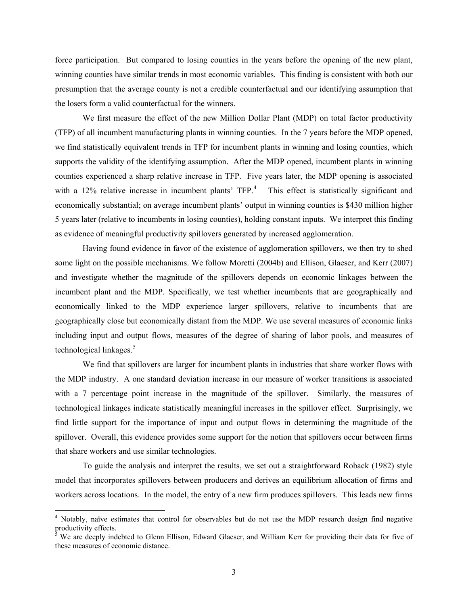force participation. But compared to losing counties in the years before the opening of the new plant, winning counties have similar trends in most economic variables. This finding is consistent with both our presumption that the average county is not a credible counterfactual and our identifying assumption that the losers form a valid counterfactual for the winners.

We first measure the effect of the new Million Dollar Plant (MDP) on total factor productivity (TFP) of all incumbent manufacturing plants in winning counties. In the 7 years before the MDP opened, we find statistically equivalent trends in TFP for incumbent plants in winning and losing counties, which supports the validity of the identifying assumption. After the MDP opened, incumbent plants in winning counties experienced a sharp relative increase in TFP. Five years later, the MDP opening is associated with a 12% relative increase in incumbent plants'  $TFP<sup>4</sup>$  $TFP<sup>4</sup>$  $TFP<sup>4</sup>$  This effect is statistically significant and economically substantial; on average incumbent plants' output in winning counties is \$430 million higher 5 years later (relative to incumbents in losing counties), holding constant inputs. We interpret this finding as evidence of meaningful productivity spillovers generated by increased agglomeration.

Having found evidence in favor of the existence of agglomeration spillovers, we then try to shed some light on the possible mechanisms. We follow Moretti (2004b) and Ellison, Glaeser, and Kerr (2007) and investigate whether the magnitude of the spillovers depends on economic linkages between the incumbent plant and the MDP. Specifically, we test whether incumbents that are geographically and economically linked to the MDP experience larger spillovers, relative to incumbents that are geographically close but economically distant from the MDP. We use several measures of economic links including input and output flows, measures of the degree of sharing of labor pools, and measures of technological linkages.<sup>[5](#page-4-1)</sup>

We find that spillovers are larger for incumbent plants in industries that share worker flows with the MDP industry. A one standard deviation increase in our measure of worker transitions is associated with a 7 percentage point increase in the magnitude of the spillover. Similarly, the measures of technological linkages indicate statistically meaningful increases in the spillover effect. Surprisingly, we find little support for the importance of input and output flows in determining the magnitude of the spillover. Overall, this evidence provides some support for the notion that spillovers occur between firms that share workers and use similar technologies.

To guide the analysis and interpret the results, we set out a straightforward Roback (1982) style model that incorporates spillovers between producers and derives an equilibrium allocation of firms and workers across locations. In the model, the entry of a new firm produces spillovers. This leads new firms

<span id="page-4-0"></span><sup>&</sup>lt;sup>4</sup> Notably, naïve estimates that control for observables but do not use the MDP research design find negative productivity effects.<br><sup>5</sup> We are deeply indebted to Glenn Ellison, Edward Glaeser, and William Kerr for providing their data for five of

<span id="page-4-1"></span>these measures of economic distance.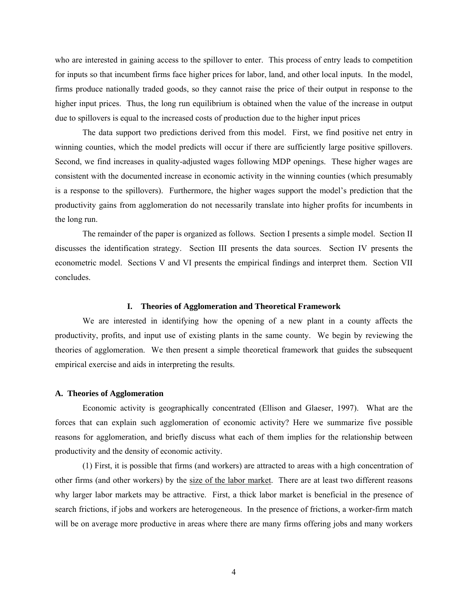who are interested in gaining access to the spillover to enter. This process of entry leads to competition for inputs so that incumbent firms face higher prices for labor, land, and other local inputs. In the model, firms produce nationally traded goods, so they cannot raise the price of their output in response to the higher input prices. Thus, the long run equilibrium is obtained when the value of the increase in output due to spillovers is equal to the increased costs of production due to the higher input prices

The data support two predictions derived from this model. First, we find positive net entry in winning counties, which the model predicts will occur if there are sufficiently large positive spillovers. Second, we find increases in quality-adjusted wages following MDP openings. These higher wages are consistent with the documented increase in economic activity in the winning counties (which presumably is a response to the spillovers). Furthermore, the higher wages support the model's prediction that the productivity gains from agglomeration do not necessarily translate into higher profits for incumbents in the long run.

The remainder of the paper is organized as follows. Section I presents a simple model. Section II discusses the identification strategy. Section III presents the data sources. Section IV presents the econometric model. Sections V and VI presents the empirical findings and interpret them. Section VII concludes.

### **I. Theories of Agglomeration and Theoretical Framework**

We are interested in identifying how the opening of a new plant in a county affects the productivity, profits, and input use of existing plants in the same county. We begin by reviewing the theories of agglomeration. We then present a simple theoretical framework that guides the subsequent empirical exercise and aids in interpreting the results.

#### **A. Theories of Agglomeration**

Economic activity is geographically concentrated (Ellison and Glaeser, 1997). What are the forces that can explain such agglomeration of economic activity? Here we summarize five possible reasons for agglomeration, and briefly discuss what each of them implies for the relationship between productivity and the density of economic activity.

(1) First, it is possible that firms (and workers) are attracted to areas with a high concentration of other firms (and other workers) by the size of the labor market. There are at least two different reasons why larger labor markets may be attractive. First, a thick labor market is beneficial in the presence of search frictions, if jobs and workers are heterogeneous. In the presence of frictions, a worker-firm match will be on average more productive in areas where there are many firms offering jobs and many workers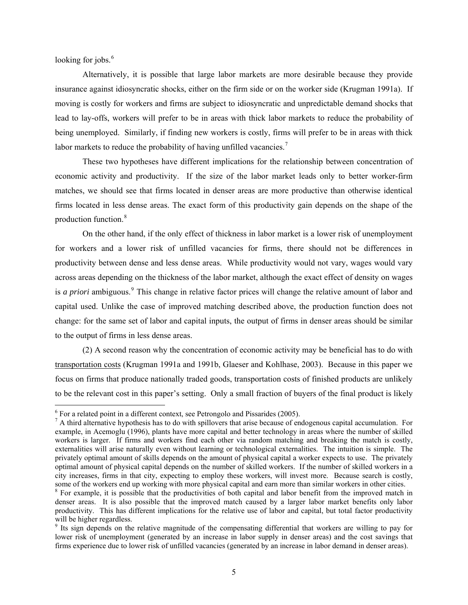looking for jobs.<sup>[6](#page-6-0)</sup>

 $\overline{a}$ 

Alternatively, it is possible that large labor markets are more desirable because they provide insurance against idiosyncratic shocks, either on the firm side or on the worker side (Krugman 1991a). If moving is costly for workers and firms are subject to idiosyncratic and unpredictable demand shocks that lead to lay-offs, workers will prefer to be in areas with thick labor markets to reduce the probability of being unemployed. Similarly, if finding new workers is costly, firms will prefer to be in areas with thick labor markets to reduce the probability of having unfilled vacancies.<sup>[7](#page-6-1)</sup>

These two hypotheses have different implications for the relationship between concentration of economic activity and productivity. If the size of the labor market leads only to better worker-firm matches, we should see that firms located in denser areas are more productive than otherwise identical firms located in less dense areas. The exact form of this productivity gain depends on the shape of the production function.<sup>[8](#page-6-2)</sup>

On the other hand, if the only effect of thickness in labor market is a lower risk of unemployment for workers and a lower risk of unfilled vacancies for firms, there should not be differences in productivity between dense and less dense areas. While productivity would not vary, wages would vary across areas depending on the thickness of the labor market, although the exact effect of density on wages is *a priori* ambiguous.<sup>[9](#page-6-3)</sup> This change in relative factor prices will change the relative amount of labor and capital used. Unlike the case of improved matching described above, the production function does not change: for the same set of labor and capital inputs, the output of firms in denser areas should be similar to the output of firms in less dense areas.

(2) A second reason why the concentration of economic activity may be beneficial has to do with transportation costs (Krugman 1991a and 1991b, Glaeser and Kohlhase, 2003). Because in this paper we focus on firms that produce nationally traded goods, transportation costs of finished products are unlikely to be the relevant cost in this paper's setting. Only a small fraction of buyers of the final product is likely

<sup>&</sup>lt;sup>6</sup> For a related point in a different context, see Petrongolo and Pissarides (2005).

 $<sup>7</sup>$  A third alternative hypothesis has to do with spillovers that arise because of endogenous capital accumulation. For</sup> example, in Acemoglu (1996), plants have more capital and better technology in areas where the number of skilled workers is larger. If firms and workers find each other via random matching and breaking the match is costly, externalities will arise naturally even without learning or technological externalities. The intuition is simple. The privately optimal amount of skills depends on the amount of physical capital a worker expects to use. The privately optimal amount of physical capital depends on the number of skilled workers. If the number of skilled workers in a city increases, firms in that city, expecting to employ these workers, will invest more. Because search is costly, some of the workers end up working with more physical capital and earn more than similar workers in other cities.

<sup>&</sup>lt;sup>8</sup> For example, it is possible that the productivities of both capital and labor benefit from the improved match in denser areas. It is also possible that the improved match caused by a larger labor market benefits only labor productivity. This has different implications for the relative use of labor and capital, but total factor productivity will be higher regardless.

<span id="page-6-3"></span><span id="page-6-2"></span><span id="page-6-1"></span><span id="page-6-0"></span><sup>&</sup>lt;sup>9</sup> Its sign depends on the relative magnitude of the compensating differential that workers are willing to pay for lower risk of unemployment (generated by an increase in labor supply in denser areas) and the cost savings that firms experience due to lower risk of unfilled vacancies (generated by an increase in labor demand in denser areas).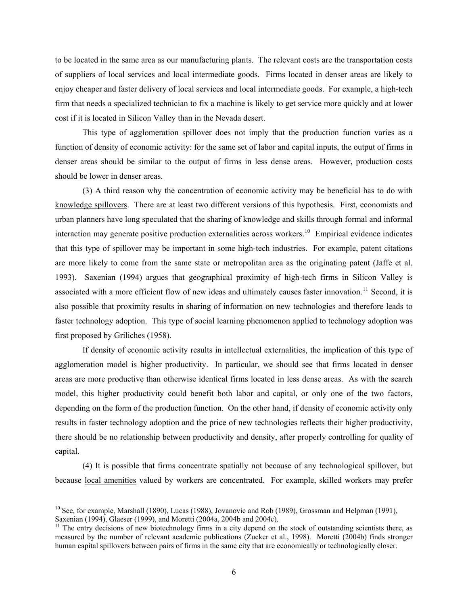to be located in the same area as our manufacturing plants. The relevant costs are the transportation costs of suppliers of local services and local intermediate goods. Firms located in denser areas are likely to enjoy cheaper and faster delivery of local services and local intermediate goods. For example, a high-tech firm that needs a specialized technician to fix a machine is likely to get service more quickly and at lower cost if it is located in Silicon Valley than in the Nevada desert.

This type of agglomeration spillover does not imply that the production function varies as a function of density of economic activity: for the same set of labor and capital inputs, the output of firms in denser areas should be similar to the output of firms in less dense areas. However, production costs should be lower in denser areas.

 (3) A third reason why the concentration of economic activity may be beneficial has to do with knowledge spillovers. There are at least two different versions of this hypothesis. First, economists and urban planners have long speculated that the sharing of knowledge and skills through formal and informal interaction may generate positive production externalities across workers.<sup>[10](#page-7-0)</sup> Empirical evidence indicates that this type of spillover may be important in some high-tech industries. For example, patent citations are more likely to come from the same state or metropolitan area as the originating patent (Jaffe et al. 1993). Saxenian (1994) argues that geographical proximity of high-tech firms in Silicon Valley is associated with a more efficient flow of new ideas and ultimately causes faster innovation.<sup>[11](#page-7-1)</sup> Second, it is also possible that proximity results in sharing of information on new technologies and therefore leads to faster technology adoption. This type of social learning phenomenon applied to technology adoption was first proposed by Griliches (1958).

 If density of economic activity results in intellectual externalities, the implication of this type of agglomeration model is higher productivity. In particular, we should see that firms located in denser areas are more productive than otherwise identical firms located in less dense areas. As with the search model, this higher productivity could benefit both labor and capital, or only one of the two factors, depending on the form of the production function. On the other hand, if density of economic activity only results in faster technology adoption and the price of new technologies reflects their higher productivity, there should be no relationship between productivity and density, after properly controlling for quality of capital.

 (4) It is possible that firms concentrate spatially not because of any technological spillover, but because local amenities valued by workers are concentrated. For example, skilled workers may prefer

<sup>&</sup>lt;sup>10</sup> See, for example, Marshall (1890), Lucas (1988), Jovanovic and Rob (1989), Grossman and Helpman (1991), Saxenian (1994), Glaeser (1999), and Moretti (2004a, 2004b and 2004c).

<span id="page-7-1"></span><span id="page-7-0"></span><sup>&</sup>lt;sup>11</sup> The entry decisions of new biotechnology firms in a city depend on the stock of outstanding scientists there, as measured by the number of relevant academic publications (Zucker et al., 1998). Moretti (2004b) finds stronger human capital spillovers between pairs of firms in the same city that are economically or technologically closer.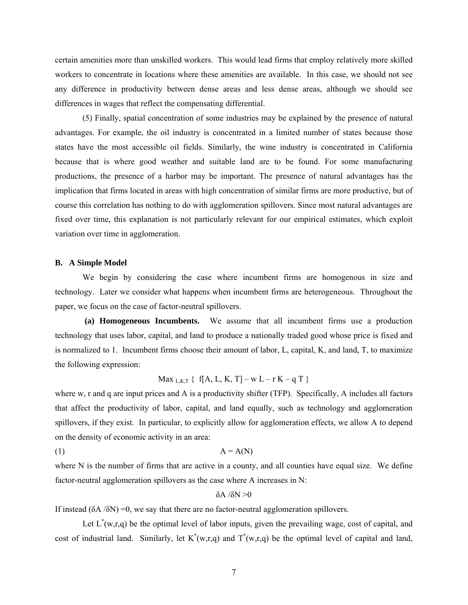certain amenities more than unskilled workers. This would lead firms that employ relatively more skilled workers to concentrate in locations where these amenities are available. In this case, we should not see any difference in productivity between dense areas and less dense areas, although we should see differences in wages that reflect the compensating differential.

 (5) Finally, spatial concentration of some industries may be explained by the presence of natural advantages. For example, the oil industry is concentrated in a limited number of states because those states have the most accessible oil fields. Similarly, the wine industry is concentrated in California because that is where good weather and suitable land are to be found. For some manufacturing productions, the presence of a harbor may be important. The presence of natural advantages has the implication that firms located in areas with high concentration of similar firms are more productive, but of course this correlation has nothing to do with agglomeration spillovers. Since most natural advantages are fixed over time, this explanation is not particularly relevant for our empirical estimates, which exploit variation over time in agglomeration.

#### **B. A Simple Model**

We begin by considering the case where incumbent firms are homogenous in size and technology. Later we consider what happens when incumbent firms are heterogeneous. Throughout the paper, we focus on the case of factor-neutral spillovers.

 **(a) Homogeneous Incumbents.** We assume that all incumbent firms use a production technology that uses labor, capital, and land to produce a nationally traded good whose price is fixed and is normalized to 1. Incumbent firms choose their amount of labor, L, capital, K, and land, T, to maximize the following expression:

$$
Max_{L,K,T} \{ f[A, L, K, T] - w L - r K - q T \}
$$

where w, r and q are input prices and A is a productivity shifter (TFP). Specifically, A includes all factors that affect the productivity of labor, capital, and land equally, such as technology and agglomeration spillovers, if they exist. In particular, to explicitly allow for agglomeration effects, we allow A to depend on the density of economic activity in an area:

(1)  $A = A(N)$ 

where N is the number of firms that are active in a county, and all counties have equal size. We define factor-neutral agglomeration spillovers as the case where A increases in N:

#### δA /δN >0

If instead  $(\delta A / \delta N) = 0$ , we say that there are no factor-neutral agglomeration spillovers.

Let  $L^*(w,r,q)$  be the optimal level of labor inputs, given the prevailing wage, cost of capital, and cost of industrial land. Similarly, let  $K^*(w,r,q)$  and  $T^*(w,r,q)$  be the optimal level of capital and land,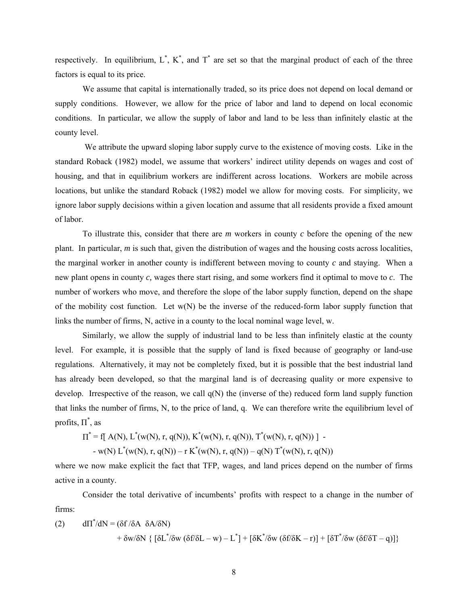respectively. In equilibrium,  $L^*$ ,  $K^*$ , and  $T^*$  are set so that the marginal product of each of the three factors is equal to its price.

We assume that capital is internationally traded, so its price does not depend on local demand or supply conditions. However, we allow for the price of labor and land to depend on local economic conditions. In particular, we allow the supply of labor and land to be less than infinitely elastic at the county level.

We attribute the upward sloping labor supply curve to the existence of moving costs. Like in the standard Roback (1982) model, we assume that workers' indirect utility depends on wages and cost of housing, and that in equilibrium workers are indifferent across locations. Workers are mobile across locations, but unlike the standard Roback (1982) model we allow for moving costs. For simplicity, we ignore labor supply decisions within a given location and assume that all residents provide a fixed amount of labor.

To illustrate this, consider that there are *m* workers in county *c* before the opening of the new plant. In particular, *m* is such that, given the distribution of wages and the housing costs across localities, the marginal worker in another county is indifferent between moving to county *c* and staying. When a new plant opens in county *c,* wages there start rising, and some workers find it optimal to move to *c*. The number of workers who move, and therefore the slope of the labor supply function, depend on the shape of the mobility cost function. Let  $w(N)$  be the inverse of the reduced-form labor supply function that links the number of firms, N, active in a county to the local nominal wage level, w.

Similarly, we allow the supply of industrial land to be less than infinitely elastic at the county level. For example, it is possible that the supply of land is fixed because of geography or land-use regulations. Alternatively, it may not be completely fixed, but it is possible that the best industrial land has already been developed, so that the marginal land is of decreasing quality or more expensive to develop. Irrespective of the reason, we call  $q(N)$  the (inverse of the) reduced form land supply function that links the number of firms, N, to the price of land, q. We can therefore write the equilibrium level of profits,  $\Pi^*$ , as

$$
\Pi^* = f[A(N), L^*(w(N), r, q(N)), K^*(w(N), r, q(N)), T^*(w(N), r, q(N))]
$$
  
- w(N) L^\*(w(N), r, q(N)) – r K^\*(w(N), r, q(N)) – q(N) T^\*(w(N), r, q(N))

where we now make explicit the fact that TFP, wages, and land prices depend on the number of firms active in a county.

 Consider the total derivative of incumbents' profits with respect to a change in the number of firms:

(2) 
$$
d\Pi^* / dN = (\delta f / \delta A \delta A / \delta N) + \delta w / \delta N \{ [\delta L^* / \delta w (\delta f / \delta L - w) - L^*] + [\delta K^* / \delta w (\delta f / \delta K - r)] + [\delta T^* / \delta w (\delta f / \delta T - q)] \}
$$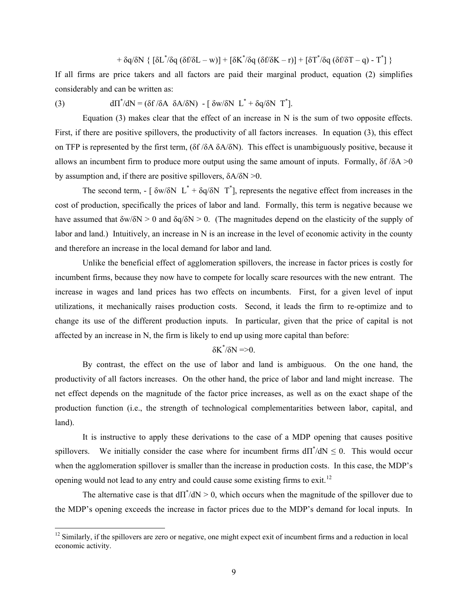<span id="page-10-0"></span> $+ \delta q / \delta N \{ [\delta L^* / \delta q (\delta f / \delta L - w)] + [\delta K^* / \delta q (\delta f / \delta K - r)] + [\delta T^* / \delta q (\delta f / \delta T - q) - T^*] \}$ 

If all firms are price takers and all factors are paid their marginal product, equation (2) simplifies considerably and can be written as:

(3)  $d\Pi^* / dN = (\delta f / \delta A \ \delta A / \delta N) - [\delta w / \delta N L^* + \delta q / \delta N T^*].$ 

Equation (3) makes clear that the effect of an increase in N is the sum of two opposite effects. First, if there are positive spillovers, the productivity of all factors increases. In equation (3), this effect on TFP is represented by the first term, (δf /δA δA/δN). This effect is unambiguously positive, because it allows an incumbent firm to produce more output using the same amount of inputs. Formally,  $\delta f / \delta A > 0$ by assumption and, if there are positive spillovers,  $\delta A/\delta N > 0$ .

The second term,  $\cdot$  [  $\delta w/\delta N$  L<sup>\*</sup> +  $\delta q/\delta N$  T<sup>\*</sup>], represents the negative effect from increases in the cost of production, specifically the prices of labor and land. Formally, this term is negative because we have assumed that  $\delta w / \delta N > 0$  and  $\delta q / \delta N > 0$ . (The magnitudes depend on the elasticity of the supply of labor and land.) Intuitively, an increase in  $N$  is an increase in the level of economic activity in the county and therefore an increase in the local demand for labor and land.

Unlike the beneficial effect of agglomeration spillovers, the increase in factor prices is costly for incumbent firms, because they now have to compete for locally scare resources with the new entrant. The increase in wages and land prices has two effects on incumbents. First, for a given level of input utilizations, it mechanically raises production costs. Second, it leads the firm to re-optimize and to change its use of the different production inputs. In particular, given that the price of capital is not affected by an increase in N, the firm is likely to end up using more capital than before:

# $\delta K^* / \delta N \Rightarrow 0$ .

By contrast, the effect on the use of labor and land is ambiguous. On the one hand, the productivity of all factors increases. On the other hand, the price of labor and land might increase. The net effect depends on the magnitude of the factor price increases, as well as on the exact shape of the production function (i.e., the strength of technological complementarities between labor, capital, and land).

It is instructive to apply these derivations to the case of a MDP opening that causes positive spillovers. We initially consider the case where for incumbent firms  $d\overline{\Pi}^* / dN \leq 0$ . This would occur when the agglomeration spillover is smaller than the increase in production costs. In this case, the MDP's opening would not lead to any entry and could cause some existing firms to exit.<sup>[12](#page-10-0)</sup>

The alternative case is that  $d\Pi^* / dN > 0$ , which occurs when the magnitude of the spillover due to the MDP's opening exceeds the increase in factor prices due to the MDP's demand for local inputs. In

 $12$  Similarly, if the spillovers are zero or negative, one might expect exit of incumbent firms and a reduction in local economic activity.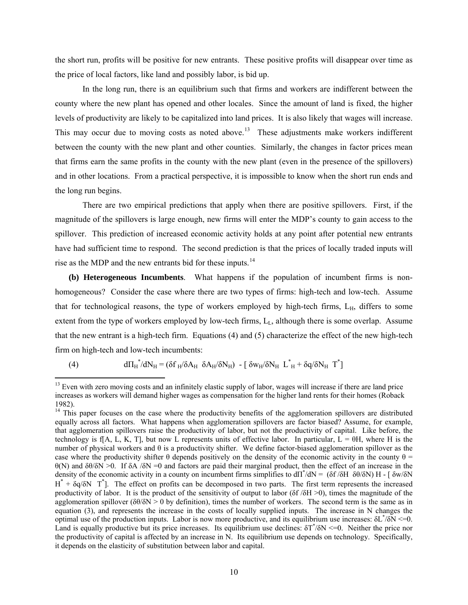<span id="page-11-0"></span>the short run, profits will be positive for new entrants. These positive profits will disappear over time as the price of local factors, like land and possibly labor, is bid up.

In the long run, there is an equilibrium such that firms and workers are indifferent between the county where the new plant has opened and other locales. Since the amount of land is fixed, the higher levels of productivity are likely to be capitalized into land prices. It is also likely that wages will increase. This may occur due to moving costs as noted above.<sup>[13](#page-11-0)</sup> These adjustments make workers indifferent between the county with the new plant and other counties. Similarly, the changes in factor prices mean that firms earn the same profits in the county with the new plant (even in the presence of the spillovers) and in other locations. From a practical perspective, it is impossible to know when the short run ends and the long run begins.

There are two empirical predictions that apply when there are positive spillovers. First, if the magnitude of the spillovers is large enough, new firms will enter the MDP's county to gain access to the spillover. This prediction of increased economic activity holds at any point after potential new entrants have had sufficient time to respond. The second prediction is that the prices of locally traded inputs will rise as the MDP and the new entrants bid for these inputs.<sup>[14](#page-11-0)</sup>

**(b) Heterogeneous Incumbents**. What happens if the population of incumbent firms is nonhomogeneous? Consider the case where there are two types of firms: high-tech and low-tech. Assume that for technological reasons, the type of workers employed by high-tech firms,  $L_H$ , differs to some extent from the type of workers employed by low-tech firms,  $L_1$ , although there is some overlap. Assume that the new entrant is a high-tech firm. Equations (4) and (5) characterize the effect of the new high-tech firm on high-tech and low-tech incumbents:

(4)  $d\Pi_H^* / dN_H = (\delta f_H / \delta A_H \delta A_H / \delta N_H) - [\delta w_H / \delta N_H L_H^* + \delta q / \delta N_H T^*]$ 

<sup>&</sup>lt;sup>13</sup> Even with zero moving costs and an infinitely elastic supply of labor, wages will increase if there are land price increases as workers will demand higher wages as compensation for the higher land rents for their homes (Roback 1982).

 $14$  This paper focuses on the case where the productivity benefits of the agglomeration spillovers are distributed equally across all factors. What happens when agglomeration spillovers are factor biased? Assume, for example, that agglomeration spillovers raise the productivity of labor, but not the productivity of capital. Like before, the technology is f[A, L, K, T], but now L represents units of effective labor. In particular,  $L = \theta H$ , where H is the number of physical workers and  $\theta$  is a productivity shifter. We define factor-biased agglomeration spillover as the case where the productivity shifter  $\theta$  depends positively on the density of the economic activity in the county  $\theta$  = θ(N) and δθ/δN >0. If δA /δN =0 and factors are paid their marginal product, then the effect of an increase in the density of the economic activity in a county on incumbent firms simplifies to  $d\overline{\Pi}^* / dN = (\delta f / \delta H \delta \theta / \delta N) H - [\delta w / \delta N$  $H^* + \delta q / \delta N$  T<sup>\*</sup>]. The effect on profits can be decomposed in two parts. The first term represents the increased productivity of labor. It is the product of the sensitivity of output to labor ( $\delta f / \delta H > 0$ ), times the magnitude of the agglomeration spillover ( $\delta\theta/\delta N > 0$  by definition), times the number of workers. The second term is the same as in equation (3), and represents the increase in the costs of locally supplied inputs. The increase in N changes the optimal use of the production inputs. Labor is now more productive, and its equilibrium use increases:  $\delta L^* / \delta N \leq 0$ . Land is equally productive but its price increases. Its equilibrium use declines:  $\delta T^* / \delta N \leq 0$ . Neither the price nor the productivity of capital is affected by an increase in N. Its equilibrium use depends on technology. Specifically, it depends on the elasticity of substitution between labor and capital.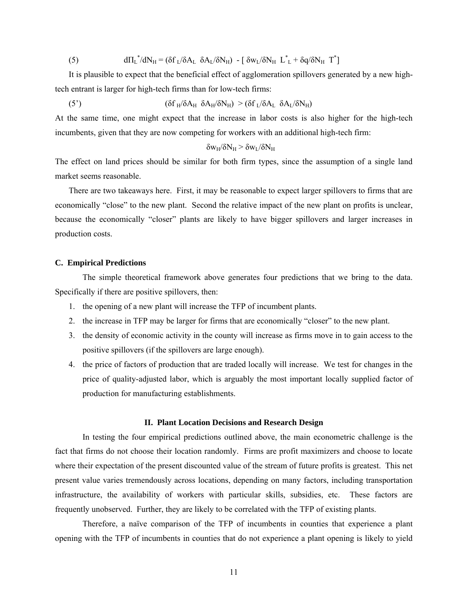(5)  $d\Pi_L^* / dN_H = (\delta f_L / \delta A_L \delta A_L / \delta N_H) - [\delta w_L / \delta N_H L_L^* + \delta q / \delta N_H T^*]$ 

It is plausible to expect that the beneficial effect of agglomeration spillovers generated by a new hightech entrant is larger for high-tech firms than for low-tech firms:

(5')  $(\delta f_H / \delta A_H \delta A_H / \delta N_H) > (\delta f_L / \delta A_L \delta A_L / \delta N_H)$ 

At the same time, one might expect that the increase in labor costs is also higher for the high-tech incumbents, given that they are now competing for workers with an additional high-tech firm:

$$
\delta w_H/\delta N_H \geq \delta w_L/\delta N_H
$$

The effect on land prices should be similar for both firm types, since the assumption of a single land market seems reasonable.

There are two takeaways here. First, it may be reasonable to expect larger spillovers to firms that are economically "close" to the new plant. Second the relative impact of the new plant on profits is unclear, because the economically "closer" plants are likely to have bigger spillovers and larger increases in production costs.

#### **C. Empirical Predictions**

The simple theoretical framework above generates four predictions that we bring to the data. Specifically if there are positive spillovers, then:

- 1. the opening of a new plant will increase the TFP of incumbent plants.
- 2. the increase in TFP may be larger for firms that are economically "closer" to the new plant.
- 3. the density of economic activity in the county will increase as firms move in to gain access to the positive spillovers (if the spillovers are large enough).
- 4. the price of factors of production that are traded locally will increase. We test for changes in the price of quality-adjusted labor, which is arguably the most important locally supplied factor of production for manufacturing establishments.

#### **II. Plant Location Decisions and Research Design**

 In testing the four empirical predictions outlined above, the main econometric challenge is the fact that firms do not choose their location randomly. Firms are profit maximizers and choose to locate where their expectation of the present discounted value of the stream of future profits is greatest. This net present value varies tremendously across locations, depending on many factors, including transportation infrastructure, the availability of workers with particular skills, subsidies, etc. These factors are frequently unobserved. Further, they are likely to be correlated with the TFP of existing plants.

Therefore, a naïve comparison of the TFP of incumbents in counties that experience a plant opening with the TFP of incumbents in counties that do not experience a plant opening is likely to yield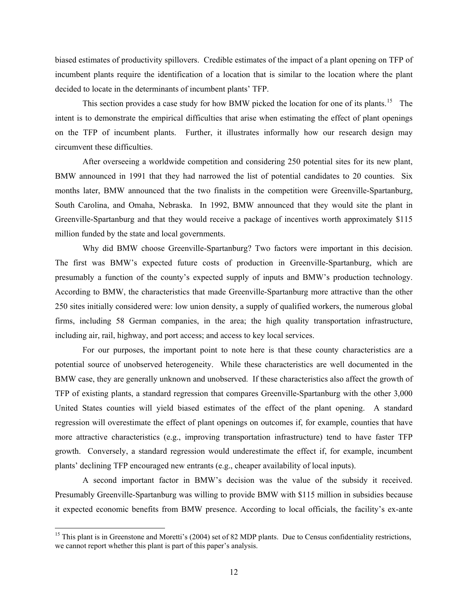<span id="page-13-0"></span>biased estimates of productivity spillovers. Credible estimates of the impact of a plant opening on TFP of incumbent plants require the identification of a location that is similar to the location where the plant decided to locate in the determinants of incumbent plants' TFP.

This section provides a case study for how BMW picked the location for one of its plants.<sup>[15](#page-13-0)</sup> The intent is to demonstrate the empirical difficulties that arise when estimating the effect of plant openings on the TFP of incumbent plants. Further, it illustrates informally how our research design may circumvent these difficulties.

After overseeing a worldwide competition and considering 250 potential sites for its new plant, BMW announced in 1991 that they had narrowed the list of potential candidates to 20 counties. Six months later, BMW announced that the two finalists in the competition were Greenville-Spartanburg, South Carolina, and Omaha, Nebraska. In 1992, BMW announced that they would site the plant in Greenville-Spartanburg and that they would receive a package of incentives worth approximately \$115 million funded by the state and local governments.

Why did BMW choose Greenville-Spartanburg? Two factors were important in this decision. The first was BMW's expected future costs of production in Greenville-Spartanburg, which are presumably a function of the county's expected supply of inputs and BMW's production technology. According to BMW, the characteristics that made Greenville-Spartanburg more attractive than the other 250 sites initially considered were: low union density, a supply of qualified workers, the numerous global firms, including 58 German companies, in the area; the high quality transportation infrastructure, including air, rail, highway, and port access; and access to key local services.

For our purposes, the important point to note here is that these county characteristics are a potential source of unobserved heterogeneity. While these characteristics are well documented in the BMW case, they are generally unknown and unobserved. If these characteristics also affect the growth of TFP of existing plants, a standard regression that compares Greenville-Spartanburg with the other 3,000 United States counties will yield biased estimates of the effect of the plant opening. A standard regression will overestimate the effect of plant openings on outcomes if, for example, counties that have more attractive characteristics (e.g., improving transportation infrastructure) tend to have faster TFP growth. Conversely, a standard regression would underestimate the effect if, for example, incumbent plants' declining TFP encouraged new entrants (e.g., cheaper availability of local inputs).

A second important factor in BMW's decision was the value of the subsidy it received. Presumably Greenville-Spartanburg was willing to provide BMW with \$115 million in subsidies because it expected economic benefits from BMW presence. According to local officials, the facility's ex-ante

<sup>&</sup>lt;sup>15</sup> This plant is in Greenstone and Moretti's (2004) set of 82 MDP plants. Due to Census confidentiality restrictions, we cannot report whether this plant is part of this paper's analysis.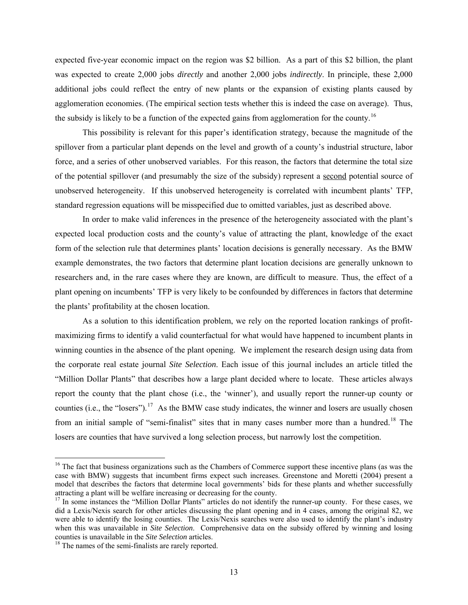<span id="page-14-0"></span>expected five-year economic impact on the region was \$2 billion. As a part of this \$2 billion, the plant was expected to create 2,000 jobs *directly* and another 2,000 jobs *indirectly*. In principle, these 2,000 additional jobs could reflect the entry of new plants or the expansion of existing plants caused by agglomeration economies. (The empirical section tests whether this is indeed the case on average). Thus, the subsidy is likely to be a function of the expected gains from agglomeration for the county.<sup>[16](#page-14-0)</sup>

This possibility is relevant for this paper's identification strategy, because the magnitude of the spillover from a particular plant depends on the level and growth of a county's industrial structure, labor force, and a series of other unobserved variables. For this reason, the factors that determine the total size of the potential spillover (and presumably the size of the subsidy) represent a second potential source of unobserved heterogeneity. If this unobserved heterogeneity is correlated with incumbent plants' TFP, standard regression equations will be misspecified due to omitted variables, just as described above.

In order to make valid inferences in the presence of the heterogeneity associated with the plant's expected local production costs and the county's value of attracting the plant, knowledge of the exact form of the selection rule that determines plants' location decisions is generally necessary. As the BMW example demonstrates, the two factors that determine plant location decisions are generally unknown to researchers and, in the rare cases where they are known, are difficult to measure. Thus, the effect of a plant opening on incumbents' TFP is very likely to be confounded by differences in factors that determine the plants' profitability at the chosen location.

 As a solution to this identification problem, we rely on the reported location rankings of profitmaximizing firms to identify a valid counterfactual for what would have happened to incumbent plants in winning counties in the absence of the plant opening. We implement the research design using data from the corporate real estate journal *Site Selection*. Each issue of this journal includes an article titled the "Million Dollar Plants" that describes how a large plant decided where to locate. These articles always report the county that the plant chose (i.e., the 'winner'), and usually report the runner-up county or counties (i.e., the "losers").<sup>[17](#page-14-0)</sup> As the BMW case study indicates, the winner and losers are usually chosen from an initial sample of "semi-finalist" sites that in many cases number more than a hundred.<sup>[18](#page-14-0)</sup> The losers are counties that have survived a long selection process, but narrowly lost the competition.

<sup>&</sup>lt;sup>16</sup> The fact that business organizations such as the Chambers of Commerce support these incentive plans (as was the case with BMW) suggests that incumbent firms expect such increases. Greenstone and Moretti (2004) present a model that describes the factors that determine local governments' bids for these plants and whether successfully attracting a plant will be welfare increasing or decreasing for the county.

 $17$  In some instances the "Million Dollar Plants" articles do not identify the runner-up county. For these cases, we did a Lexis/Nexis search for other articles discussing the plant opening and in 4 cases, among the original 82, we were able to identify the losing counties. The Lexis/Nexis searches were also used to identify the plant's industry when this was unavailable in *Site Selection*. Comprehensive data on the subsidy offered by winning and losing counties is unavailable in the *Site Selection* articles. <sup>18</sup> The names of the semi-finalists are rarely reported.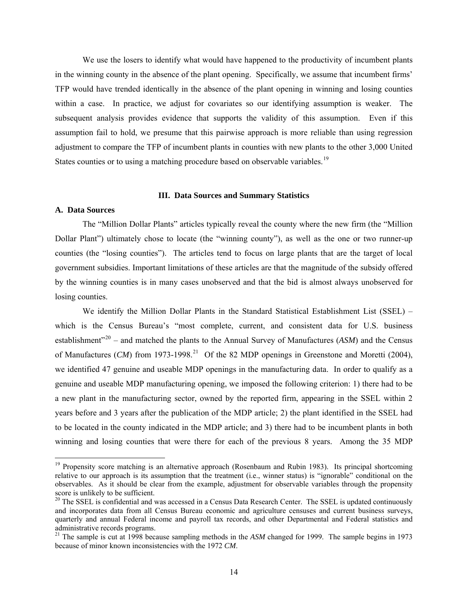<span id="page-15-0"></span>We use the losers to identify what would have happened to the productivity of incumbent plants in the winning county in the absence of the plant opening. Specifically, we assume that incumbent firms' TFP would have trended identically in the absence of the plant opening in winning and losing counties within a case. In practice, we adjust for covariates so our identifying assumption is weaker. The subsequent analysis provides evidence that supports the validity of this assumption. Even if this assumption fail to hold, we presume that this pairwise approach is more reliable than using regression adjustment to compare the TFP of incumbent plants in counties with new plants to the other 3,000 United States counties or to using a matching procedure based on observable variables.<sup>[19](#page-15-0)</sup>

#### **III. Data Sources and Summary Statistics**

#### **A. Data Sources**

 $\overline{a}$ 

The "Million Dollar Plants" articles typically reveal the county where the new firm (the "Million Dollar Plant") ultimately chose to locate (the "winning county"), as well as the one or two runner-up counties (the "losing counties"). The articles tend to focus on large plants that are the target of local government subsidies. Important limitations of these articles are that the magnitude of the subsidy offered by the winning counties is in many cases unobserved and that the bid is almost always unobserved for losing counties.

We identify the Million Dollar Plants in the Standard Statistical Establishment List (SSEL) – which is the Census Bureau's "most complete, current, and consistent data for U.S. business establishment<sup>"[20](#page-15-0)</sup> – and matched the plants to the Annual Survey of Manufactures (ASM) and the Census of Manufactures (*CM*) from 1973-1998.<sup>[21](#page-15-0)</sup> Of the 82 MDP openings in Greenstone and Moretti (2004), we identified 47 genuine and useable MDP openings in the manufacturing data. In order to qualify as a genuine and useable MDP manufacturing opening, we imposed the following criterion: 1) there had to be a new plant in the manufacturing sector, owned by the reported firm, appearing in the SSEL within 2 years before and 3 years after the publication of the MDP article; 2) the plant identified in the SSEL had to be located in the county indicated in the MDP article; and 3) there had to be incumbent plants in both winning and losing counties that were there for each of the previous 8 years. Among the 35 MDP

<sup>&</sup>lt;sup>19</sup> Propensity score matching is an alternative approach (Rosenbaum and Rubin 1983). Its principal shortcoming relative to our approach is its assumption that the treatment (i.e., winner status) is "ignorable" conditional on the observables. As it should be clear from the example, adjustment for observable variables through the propensity score is unlikely to be sufficient.

<sup>&</sup>lt;sup>20</sup> The SSEL is confidential and was accessed in a Census Data Research Center. The SSEL is updated continuously and incorporates data from all Census Bureau economic and agriculture censuses and current business surveys, quarterly and annual Federal income and payroll tax records, and other Departmental and Federal statistics and administrative records programs.

<sup>&</sup>lt;sup>21</sup> The sample is cut at 1998 because sampling methods in the *ASM* changed for 1999. The sample begins in 1973 because of minor known inconsistencies with the 1972 *CM*.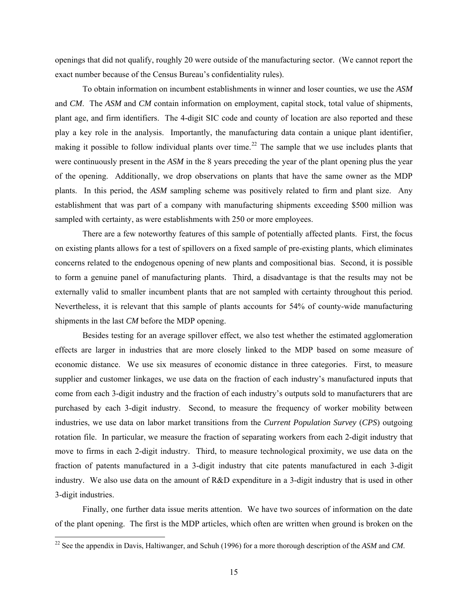<span id="page-16-0"></span>openings that did not qualify, roughly 20 were outside of the manufacturing sector. (We cannot report the exact number because of the Census Bureau's confidentiality rules).

 To obtain information on incumbent establishments in winner and loser counties, we use the *ASM*  and *CM*. The *ASM* and *CM* contain information on employment, capital stock, total value of shipments, plant age, and firm identifiers. The 4-digit SIC code and county of location are also reported and these play a key role in the analysis. Importantly, the manufacturing data contain a unique plant identifier, making it possible to follow individual plants over time.<sup>[22](#page-16-0)</sup> The sample that we use includes plants that were continuously present in the *ASM* in the 8 years preceding the year of the plant opening plus the year of the opening. Additionally, we drop observations on plants that have the same owner as the MDP plants. In this period, the *ASM* sampling scheme was positively related to firm and plant size. Any establishment that was part of a company with manufacturing shipments exceeding \$500 million was sampled with certainty, as were establishments with 250 or more employees.

There are a few noteworthy features of this sample of potentially affected plants. First, the focus on existing plants allows for a test of spillovers on a fixed sample of pre-existing plants, which eliminates concerns related to the endogenous opening of new plants and compositional bias. Second, it is possible to form a genuine panel of manufacturing plants. Third, a disadvantage is that the results may not be externally valid to smaller incumbent plants that are not sampled with certainty throughout this period. Nevertheless, it is relevant that this sample of plants accounts for 54% of county-wide manufacturing shipments in the last *CM* before the MDP opening.

 Besides testing for an average spillover effect, we also test whether the estimated agglomeration effects are larger in industries that are more closely linked to the MDP based on some measure of economic distance. We use six measures of economic distance in three categories. First, to measure supplier and customer linkages, we use data on the fraction of each industry's manufactured inputs that come from each 3-digit industry and the fraction of each industry's outputs sold to manufacturers that are purchased by each 3-digit industry. Second, to measure the frequency of worker mobility between industries, we use data on labor market transitions from the *Current Population Survey* (*CPS*) outgoing rotation file. In particular, we measure the fraction of separating workers from each 2-digit industry that move to firms in each 2-digit industry. Third, to measure technological proximity, we use data on the fraction of patents manufactured in a 3-digit industry that cite patents manufactured in each 3-digit industry. We also use data on the amount of R&D expenditure in a 3-digit industry that is used in other 3-digit industries.

 Finally, one further data issue merits attention. We have two sources of information on the date of the plant opening. The first is the MDP articles, which often are written when ground is broken on the

<sup>22</sup> See the appendix in Davis, Haltiwanger, and Schuh (1996) for a more thorough description of the *ASM* and *CM*.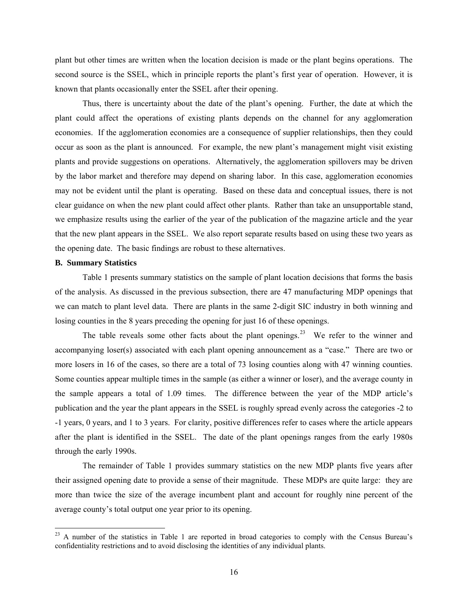<span id="page-17-0"></span>plant but other times are written when the location decision is made or the plant begins operations. The second source is the SSEL, which in principle reports the plant's first year of operation. However, it is known that plants occasionally enter the SSEL after their opening.

Thus, there is uncertainty about the date of the plant's opening. Further, the date at which the plant could affect the operations of existing plants depends on the channel for any agglomeration economies. If the agglomeration economies are a consequence of supplier relationships, then they could occur as soon as the plant is announced. For example, the new plant's management might visit existing plants and provide suggestions on operations. Alternatively, the agglomeration spillovers may be driven by the labor market and therefore may depend on sharing labor. In this case, agglomeration economies may not be evident until the plant is operating. Based on these data and conceptual issues, there is not clear guidance on when the new plant could affect other plants. Rather than take an unsupportable stand, we emphasize results using the earlier of the year of the publication of the magazine article and the year that the new plant appears in the SSEL. We also report separate results based on using these two years as the opening date. The basic findings are robust to these alternatives.

#### **B. Summary Statistics**

 $\overline{a}$ 

Table 1 presents summary statistics on the sample of plant location decisions that forms the basis of the analysis. As discussed in the previous subsection, there are 47 manufacturing MDP openings that we can match to plant level data. There are plants in the same 2-digit SIC industry in both winning and losing counties in the 8 years preceding the opening for just 16 of these openings.

The table reveals some other facts about the plant openings.<sup>[23](#page-17-0)</sup> We refer to the winner and accompanying loser(s) associated with each plant opening announcement as a "case." There are two or more losers in 16 of the cases, so there are a total of 73 losing counties along with 47 winning counties. Some counties appear multiple times in the sample (as either a winner or loser), and the average county in the sample appears a total of 1.09 times. The difference between the year of the MDP article's publication and the year the plant appears in the SSEL is roughly spread evenly across the categories -2 to -1 years, 0 years, and 1 to 3 years. For clarity, positive differences refer to cases where the article appears after the plant is identified in the SSEL. The date of the plant openings ranges from the early 1980s through the early 1990s.

The remainder of Table 1 provides summary statistics on the new MDP plants five years after their assigned opening date to provide a sense of their magnitude. These MDPs are quite large: they are more than twice the size of the average incumbent plant and account for roughly nine percent of the average county's total output one year prior to its opening.

 $^{23}$  A number of the statistics in Table 1 are reported in broad categories to comply with the Census Bureau's confidentiality restrictions and to avoid disclosing the identities of any individual plants.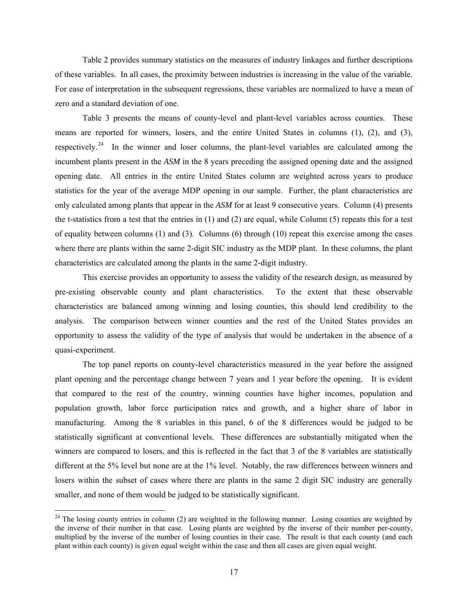<span id="page-18-0"></span> Table 2 provides summary statistics on the measures of industry linkages and further descriptions of these variables. In all cases, the proximity between industries is increasing in the value of the variable. For ease of interpretation in the subsequent regressions, these variables are normalized to have a mean of zero and a standard deviation of one.

Table 3 presents the means of county-level and plant-level variables across counties. These means are reported for winners, losers, and the entire United States in columns (1), (2), and (3), respectively.<sup>[24](#page-18-0)</sup> In the winner and loser columns, the plant-level variables are calculated among the incumbent plants present in the *ASM* in the 8 years preceding the assigned opening date and the assigned opening date. All entries in the entire United States column are weighted across years to produce statistics for the year of the average MDP opening in our sample. Further, the plant characteristics are only calculated among plants that appear in the *ASM* for at least 9 consecutive years. Column (4) presents the t-statistics from a test that the entries in (1) and (2) are equal, while Column (5) repeats this for a test of equality between columns (1) and (3). Columns (6) through (10) repeat this exercise among the cases where there are plants within the same 2-digit SIC industry as the MDP plant. In these columns, the plant characteristics are calculated among the plants in the same 2-digit industry.

This exercise provides an opportunity to assess the validity of the research design, as measured by pre-existing observable county and plant characteristics. To the extent that these observable characteristics are balanced among winning and losing counties, this should lend credibility to the analysis. The comparison between winner counties and the rest of the United States provides an opportunity to assess the validity of the type of analysis that would be undertaken in the absence of a quasi-experiment.

The top panel reports on county-level characteristics measured in the year before the assigned plant opening and the percentage change between 7 years and 1 year before the opening. It is evident that compared to the rest of the country, winning counties have higher incomes, population and population growth, labor force participation rates and growth, and a higher share of labor in manufacturing. Among the 8 variables in this panel, 6 of the 8 differences would be judged to be statistically significant at conventional levels. These differences are substantially mitigated when the winners are compared to losers, and this is reflected in the fact that 3 of the 8 variables are statistically different at the 5% level but none are at the 1% level. Notably, the raw differences between winners and losers within the subset of cases where there are plants in the same 2 digit SIC industry are generally smaller, and none of them would be judged to be statistically significant.

<sup>&</sup>lt;sup>24</sup> The losing county entries in column (2) are weighted in the following manner. Losing counties are weighted by the inverse of their number in that case. Losing plants are weighted by the inverse of their number per-county, multiplied by the inverse of the number of losing counties in their case. The result is that each county (and each plant within each county) is given equal weight within the case and then all cases are given equal weight.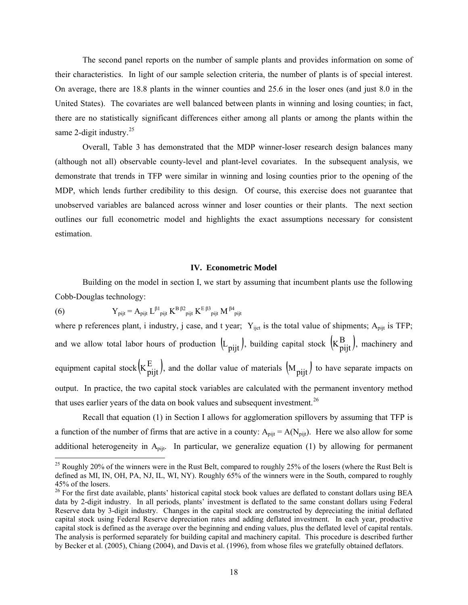<span id="page-19-0"></span>The second panel reports on the number of sample plants and provides information on some of their characteristics. In light of our sample selection criteria, the number of plants is of special interest. On average, there are 18.8 plants in the winner counties and 25.6 in the loser ones (and just 8.0 in the United States). The covariates are well balanced between plants in winning and losing counties; in fact, there are no statistically significant differences either among all plants or among the plants within the same 2-digit industry.<sup>[25](#page-19-0)</sup>

Overall, Table 3 has demonstrated that the MDP winner-loser research design balances many (although not all) observable county-level and plant-level covariates. In the subsequent analysis, we demonstrate that trends in TFP were similar in winning and losing counties prior to the opening of the MDP, which lends further credibility to this design. Of course, this exercise does not guarantee that unobserved variables are balanced across winner and loser counties or their plants. The next section outlines our full econometric model and highlights the exact assumptions necessary for consistent estimation.

#### **IV. Econometric Model**

Building on the model in section I, we start by assuming that incumbent plants use the following Cobb-Douglas technology:

(6)  $Y_{pi} = A_{pi} L^{\beta 1}_{pi} K^{B}{}_{pi}^{2}_{pi} K^{E}{}_{pi}^{B} M^{\beta 4}_{pi}$ where p references plant, i industry, j case, and t year;  $Y_{\text{ijct}}$  is the total value of shipments;  $A_{\text{piit}}$  is TFP; and we allow total labor hours of production  $(L_{\text{pijt}})$ , building capital stock  $(K_{\text{pijt}}^B)$ , machinery and equipment capital stock  $(K_{pijt}^E)$ , and the dollar value of materials  $(M_{pijt})$  to have separate impacts on output. In practice, the two capital stock variables are calculated with the permanent inventory method that uses earlier years of the data on book values and subsequent investment.<sup>[26](#page-19-0)</sup>

Recall that equation (1) in Section I allows for agglomeration spillovers by assuming that TFP is a function of the number of firms that are active in a county:  $A_{\text{pitt}} = A(N_{\text{pitt}})$ . Here we also allow for some additional heterogeneity in  $A_{pi}$ . In particular, we generalize equation (1) by allowing for permanent

 $^{25}$  Roughly 20% of the winners were in the Rust Belt, compared to roughly 25% of the losers (where the Rust Belt is defined as MI, IN, OH, PA, NJ, IL, WI, NY). Roughly 65% of the winners were in the South, compared to roughly 45% of the losers.

<sup>&</sup>lt;sup>26</sup> For the first date available, plants' historical capital stock book values are deflated to constant dollars using BEA data by 2-digit industry. In all periods, plants' investment is deflated to the same constant dollars using Federal Reserve data by 3-digit industry. Changes in the capital stock are constructed by depreciating the initial deflated capital stock using Federal Reserve depreciation rates and adding deflated investment. In each year, productive capital stock is defined as the average over the beginning and ending values, plus the deflated level of capital rentals. The analysis is performed separately for building capital and machinery capital. This procedure is described further by Becker et al. (2005), Chiang (2004), and Davis et al. (1996), from whose files we gratefully obtained deflators.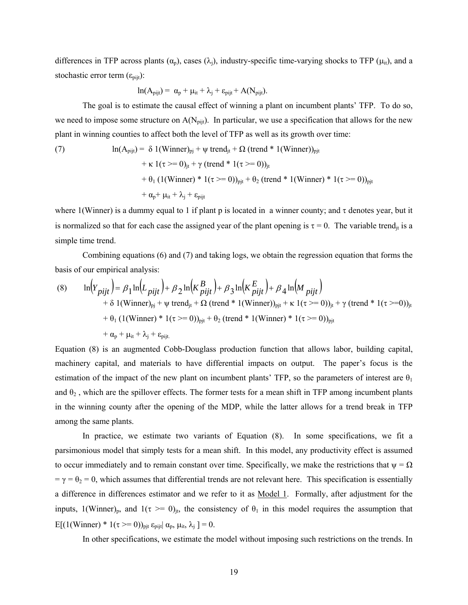differences in TFP across plants  $(\alpha_p)$ , cases  $(\lambda_j)$ , industry-specific time-varying shocks to TFP ( $\mu_{it}$ ), and a stochastic error term  $(\epsilon_{\text{piit}})$ :

$$
ln(A_{pijt}) = \alpha_p + \mu_{it} + \lambda_j + \epsilon_{pift} + A(N_{pijt}).
$$

The goal is to estimate the causal effect of winning a plant on incumbent plants' TFP. To do so, we need to impose some structure on  $A(N_{\text{pilt}})$ . In particular, we use a specification that allows for the new plant in winning counties to affect both the level of TFP as well as its growth over time:

(7) 
$$
\ln(A_{\text{pijt}}) = \delta 1(\text{Winner})_{\text{pj}} + \psi \text{ trend}_{\text{jt}} + \Omega (\text{trend} * 1(\text{Winner}))_{\text{pjt}} + \kappa 1(\tau \ge 0)_{\text{jt}} + \gamma (\text{trend} * 1(\tau \ge 0))_{\text{jt}} + \theta_1 (1(\text{Winner}) * 1(\tau \ge 0))_{\text{pjt}} + \theta_2 (\text{trend} * 1(\text{Winner}) * 1(\tau \ge 0))_{\text{pjt}} + \alpha_{\text{p}} + \mu_{\text{it}} + \lambda_{\text{j}} + \varepsilon_{\text{piit}}
$$

where 1(Winner) is a dummy equal to 1 if plant p is located in a winner county; and  $\tau$  denotes year, but it is normalized so that for each case the assigned year of the plant opening is  $\tau = 0$ . The variable trend<sub>it</sub> is a simple time trend.

Combining equations (6) and (7) and taking logs, we obtain the regression equation that forms the basis of our empirical analysis:

(8) 
$$
\ln(Y_{pijt}) = \beta_1 \ln(L_{pijt}) + \beta_2 \ln(K_{pijt}^B) + \beta_3 \ln(K_{pijt}^E) + \beta_4 \ln(M_{pijt})
$$
  
+  $\delta$  1(Winner)<sub>pi</sub> +  $\psi$  trend<sub>jt</sub> +  $\Omega$  (trend \* 1(Winner))<sub>pi</sub> +  $\kappa$  1( $\tau$  >= 0))<sub>jt</sub> +  $\gamma$  (trend \* 1(*Winner*) \* 1( $\tau$  >= 0))<sub>jt</sub>  
+  $\theta_1$  (1(Winner) \* 1( $\tau$  >= 0))<sub>pit</sub> +  $\theta_2$  (trend \* 1(Winner) \* 1( $\tau$  >= 0))<sub>pit</sub>  
+  $\alpha_p + \mu_{it} + \lambda_j + \varepsilon_{pi}$ 

Equation (8) is an augmented Cobb-Douglass production function that allows labor, building capital, machinery capital, and materials to have differential impacts on output. The paper's focus is the estimation of the impact of the new plant on incumbent plants' TFP, so the parameters of interest are  $\theta_1$ and  $\theta_2$ , which are the spillover effects. The former tests for a mean shift in TFP among incumbent plants in the winning county after the opening of the MDP, while the latter allows for a trend break in TFP among the same plants.

In practice, we estimate two variants of Equation (8). In some specifications, we fit a parsimonious model that simply tests for a mean shift. In this model, any productivity effect is assumed to occur immediately and to remain constant over time. Specifically, we make the restrictions that  $\psi = \Omega$  $=\gamma = \theta_2 = 0$ , which assumes that differential trends are not relevant here. This specification is essentially a difference in differences estimator and we refer to it as Model 1. Formally, after adjustment for the inputs, 1(Winner)<sub>p</sub>, and 1( $\tau \ge 0$ )<sub>it</sub>, the consistency of  $\theta_1$  in this model requires the assumption that E[(1(Winner) \* 1( $\tau$  >= 0))<sub>pjt</sub>  $\varepsilon$ <sub>pijt</sub> $\alpha$ <sub>p</sub>,  $\mu$ <sub>it</sub>,  $\lambda$ <sub>j</sub> ] = 0.

In other specifications, we estimate the model without imposing such restrictions on the trends. In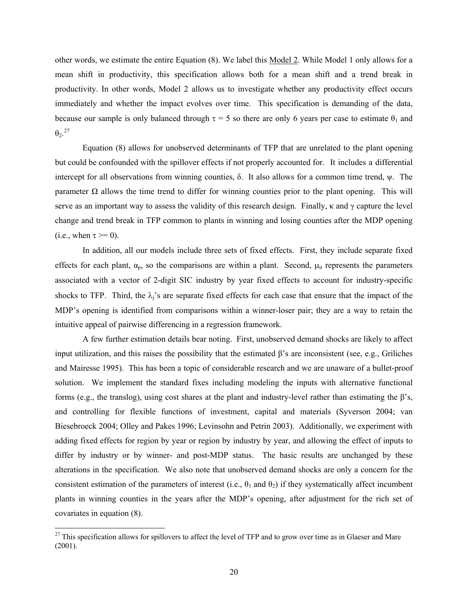<span id="page-21-0"></span>other words, we estimate the entire Equation (8). We label this Model 2. While Model 1 only allows for a mean shift in productivity, this specification allows both for a mean shift and a trend break in productivity. In other words, Model 2 allows us to investigate whether any productivity effect occurs immediately and whether the impact evolves over time. This specification is demanding of the data, because our sample is only balanced through  $\tau = 5$  so there are only 6 years per case to estimate  $\theta_1$  and  $\theta_2$ <sup>[27](#page-21-0)</sup>

Equation (8) allows for unobserved determinants of TFP that are unrelated to the plant opening but could be confounded with the spillover effects if not properly accounted for. It includes a differential intercept for all observations from winning counties, δ. It also allows for a common time trend, ψ. The parameter Ω allows the time trend to differ for winning counties prior to the plant opening. This will serve as an important way to assess the validity of this research design. Finally,  $\kappa$  and  $\gamma$  capture the level change and trend break in TFP common to plants in winning and losing counties after the MDP opening (i.e., when  $\tau \geq 0$ ).

In addition, all our models include three sets of fixed effects. First, they include separate fixed effects for each plant,  $\alpha_p$ , so the comparisons are within a plant. Second,  $\mu_{it}$  represents the parameters associated with a vector of 2-digit SIC industry by year fixed effects to account for industry-specific shocks to TFP. Third, the  $\lambda_i$ 's are separate fixed effects for each case that ensure that the impact of the MDP's opening is identified from comparisons within a winner-loser pair; they are a way to retain the intuitive appeal of pairwise differencing in a regression framework.

A few further estimation details bear noting. First, unobserved demand shocks are likely to affect input utilization, and this raises the possibility that the estimated  $\beta$ 's are inconsistent (see, e.g., Griliches and Mairesse 1995). This has been a topic of considerable research and we are unaware of a bullet-proof solution. We implement the standard fixes including modeling the inputs with alternative functional forms (e.g., the translog), using cost shares at the plant and industry-level rather than estimating the  $\beta$ 's, and controlling for flexible functions of investment, capital and materials (Syverson 2004; van Biesebroeck 2004; Olley and Pakes 1996; Levinsohn and Petrin 2003). Additionally, we experiment with adding fixed effects for region by year or region by industry by year, and allowing the effect of inputs to differ by industry or by winner- and post-MDP status. The basic results are unchanged by these alterations in the specification. We also note that unobserved demand shocks are only a concern for the consistent estimation of the parameters of interest (i.e.,  $\theta_1$  and  $\theta_2$ ) if they systematically affect incumbent plants in winning counties in the years after the MDP's opening, after adjustment for the rich set of covariates in equation (8).

 $27$  This specification allows for spillovers to affect the level of TFP and to grow over time as in Glaeser and Mare (2001).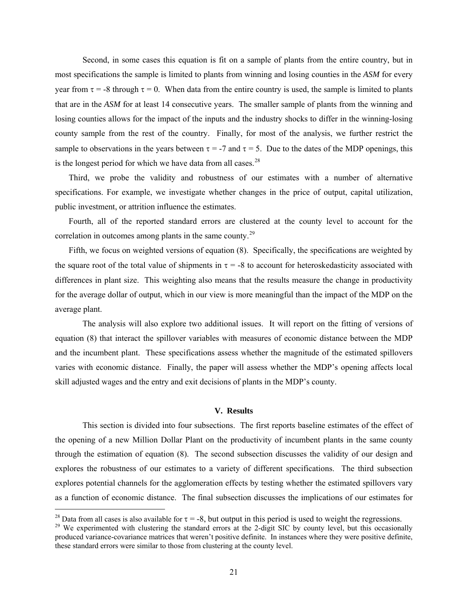<span id="page-22-0"></span>Second, in some cases this equation is fit on a sample of plants from the entire country, but in most specifications the sample is limited to plants from winning and losing counties in the *ASM* for every year from  $\tau$  = -8 through  $\tau$  = 0. When data from the entire country is used, the sample is limited to plants that are in the *ASM* for at least 14 consecutive years. The smaller sample of plants from the winning and losing counties allows for the impact of the inputs and the industry shocks to differ in the winning-losing county sample from the rest of the country. Finally, for most of the analysis, we further restrict the sample to observations in the years between  $\tau = -7$  and  $\tau = 5$ . Due to the dates of the MDP openings, this is the longest period for which we have data from all cases. $^{28}$  $^{28}$  $^{28}$ 

Third, we probe the validity and robustness of our estimates with a number of alternative specifications. For example, we investigate whether changes in the price of output, capital utilization, public investment, or attrition influence the estimates.

Fourth, all of the reported standard errors are clustered at the county level to account for the correlation in outcomes among plants in the same county.<sup>[29](#page-22-0)</sup>

Fifth, we focus on weighted versions of equation (8). Specifically, the specifications are weighted by the square root of the total value of shipments in  $\tau = -8$  to account for heteroskedasticity associated with differences in plant size. This weighting also means that the results measure the change in productivity for the average dollar of output, which in our view is more meaningful than the impact of the MDP on the average plant.

The analysis will also explore two additional issues. It will report on the fitting of versions of equation (8) that interact the spillover variables with measures of economic distance between the MDP and the incumbent plant. These specifications assess whether the magnitude of the estimated spillovers varies with economic distance. Finally, the paper will assess whether the MDP's opening affects local skill adjusted wages and the entry and exit decisions of plants in the MDP's county.

#### **V. Results**

 This section is divided into four subsections. The first reports baseline estimates of the effect of the opening of a new Million Dollar Plant on the productivity of incumbent plants in the same county through the estimation of equation (8). The second subsection discusses the validity of our design and explores the robustness of our estimates to a variety of different specifications. The third subsection explores potential channels for the agglomeration effects by testing whether the estimated spillovers vary as a function of economic distance. The final subsection discusses the implications of our estimates for

<sup>&</sup>lt;sup>28</sup> Data from all cases is also available for  $\tau = -8$ , but output in this period is used to weight the regressions.<br><sup>29</sup> We experimented with clustering the standard errors at the 2-digit SIC by county level, but this oc

produced variance-covariance matrices that weren't positive definite. In instances where they were positive definite, these standard errors were similar to those from clustering at the county level.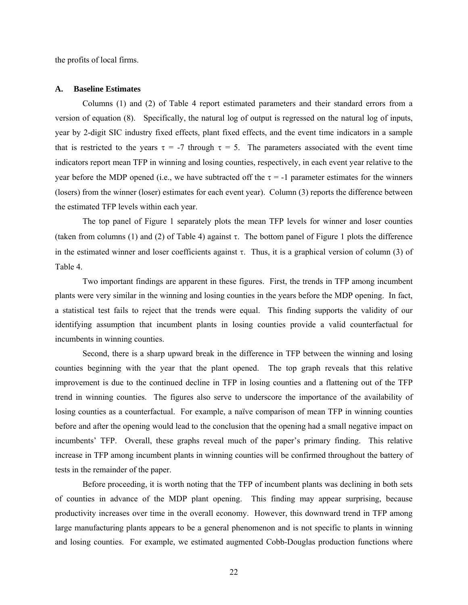the profits of local firms.

#### **A. Baseline Estimates**

 Columns (1) and (2) of Table 4 report estimated parameters and their standard errors from a version of equation (8). Specifically, the natural log of output is regressed on the natural log of inputs, year by 2-digit SIC industry fixed effects, plant fixed effects, and the event time indicators in a sample that is restricted to the years  $\tau = -7$  through  $\tau = 5$ . The parameters associated with the event time indicators report mean TFP in winning and losing counties, respectively, in each event year relative to the year before the MDP opened (i.e., we have subtracted off the  $\tau = -1$  parameter estimates for the winners (losers) from the winner (loser) estimates for each event year). Column (3) reports the difference between the estimated TFP levels within each year.

The top panel of Figure 1 separately plots the mean TFP levels for winner and loser counties (taken from columns (1) and (2) of Table 4) against  $\tau$ . The bottom panel of Figure 1 plots the difference in the estimated winner and loser coefficients against  $\tau$ . Thus, it is a graphical version of column (3) of Table 4.

Two important findings are apparent in these figures. First, the trends in TFP among incumbent plants were very similar in the winning and losing counties in the years before the MDP opening. In fact, a statistical test fails to reject that the trends were equal. This finding supports the validity of our identifying assumption that incumbent plants in losing counties provide a valid counterfactual for incumbents in winning counties.

Second, there is a sharp upward break in the difference in TFP between the winning and losing counties beginning with the year that the plant opened. The top graph reveals that this relative improvement is due to the continued decline in TFP in losing counties and a flattening out of the TFP trend in winning counties. The figures also serve to underscore the importance of the availability of losing counties as a counterfactual. For example, a naïve comparison of mean TFP in winning counties before and after the opening would lead to the conclusion that the opening had a small negative impact on incumbents' TFP. Overall, these graphs reveal much of the paper's primary finding. This relative increase in TFP among incumbent plants in winning counties will be confirmed throughout the battery of tests in the remainder of the paper.

Before proceeding, it is worth noting that the TFP of incumbent plants was declining in both sets of counties in advance of the MDP plant opening. This finding may appear surprising, because productivity increases over time in the overall economy. However, this downward trend in TFP among large manufacturing plants appears to be a general phenomenon and is not specific to plants in winning and losing counties. For example, we estimated augmented Cobb-Douglas production functions where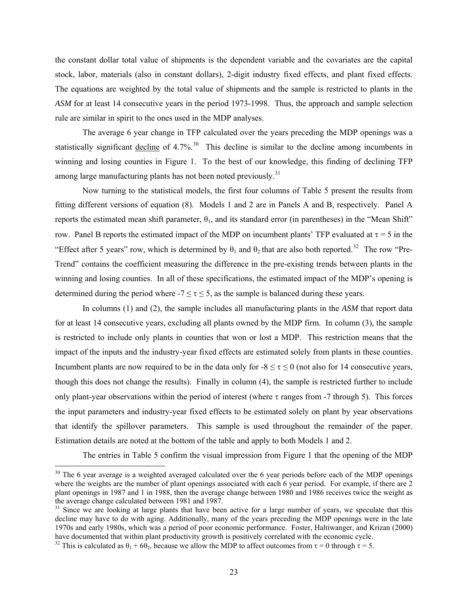<span id="page-24-0"></span>the constant dollar total value of shipments is the dependent variable and the covariates are the capital stock, labor, materials (also in constant dollars), 2-digit industry fixed effects, and plant fixed effects. The equations are weighted by the total value of shipments and the sample is restricted to plants in the *ASM* for at least 14 consecutive years in the period 1973-1998. Thus, the approach and sample selection rule are similar in spirit to the ones used in the MDP analyses.

The average 6 year change in TFP calculated over the years preceding the MDP openings was a statistically significant decline of  $4.7\%$ <sup>[30](#page-24-0)</sup>. This decline is similar to the decline among incumbents in winning and losing counties in Figure 1. To the best of our knowledge, this finding of declining TFP among large manufacturing plants has not been noted previously.<sup>[31](#page-24-0)</sup>

 Now turning to the statistical models, the first four columns of Table 5 present the results from fitting different versions of equation (8). Models 1 and 2 are in Panels A and B, respectively. Panel A reports the estimated mean shift parameter,  $\theta_1$ , and its standard error (in parentheses) in the "Mean Shift" row. Panel B reports the estimated impact of the MDP on incumbent plants' TFP evaluated at  $\tau = 5$  in the "Effect after 5 years" row, which is determined by  $\theta_1$  and  $\theta_2$  that are also both reported.<sup>[32](#page-24-0)</sup> The row "Pre-Trend" contains the coefficient measuring the difference in the pre-existing trends between plants in the winning and losing counties. In all of these specifications, the estimated impact of the MDP's opening is determined during the period where  $-7 \le \tau \le 5$ , as the sample is balanced during these years.

 In columns (1) and (2), the sample includes all manufacturing plants in the *ASM* that report data for at least 14 consecutive years, excluding all plants owned by the MDP firm. In column (3), the sample is restricted to include only plants in counties that won or lost a MDP. This restriction means that the impact of the inputs and the industry-year fixed effects are estimated solely from plants in these counties. Incumbent plants are now required to be in the data only for  $-8 \le \tau \le 0$  (not also for 14 consecutive years, though this does not change the results). Finally in column (4), the sample is restricted further to include only plant-year observations within the period of interest (where  $\tau$  ranges from -7 through 5). This forces the input parameters and industry-year fixed effects to be estimated solely on plant by year observations that identify the spillover parameters. This sample is used throughout the remainder of the paper. Estimation details are noted at the bottom of the table and apply to both Models 1 and 2.

The entries in Table 5 confirm the visual impression from Figure 1 that the opening of the MDP

 $30$  The 6 year average is a weighted averaged calculated over the 6 year periods before each of the MDP openings where the weights are the number of plant openings associated with each 6 year period. For example, if there are 2 plant openings in 1987 and 1 in 1988, then the average change between 1980 and 1986 receives twice the weight as the average change calculated between 1981 and 1987.

<sup>&</sup>lt;sup>31</sup> Since we are looking at large plants that have been active for a large number of years, we speculate that this decline may have to do with aging. Additionally, many of the years preceding the MDP openings were in the late 1970s and early 1980s, which was a period of poor economic performance. Foster, Haltiwanger, and Krizan (2000) have documented that within plant productivity growth is positively correlated with the economic cycle.<br><sup>32</sup> This is calculated as  $\theta_1 + 6\theta_2$ , because we allow the MDP to affect outcomes from  $\tau = 0$  through  $\tau = 5$ .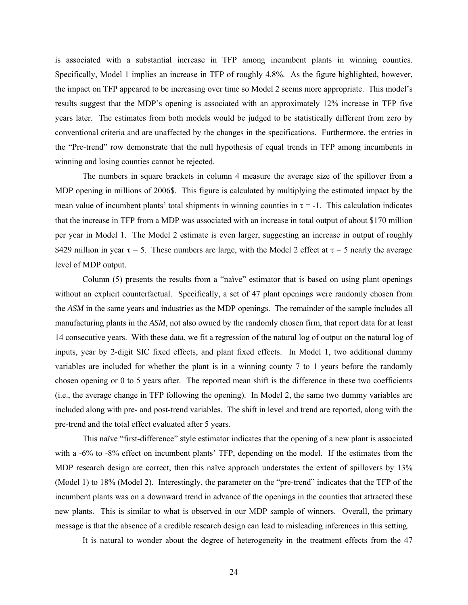is associated with a substantial increase in TFP among incumbent plants in winning counties. Specifically, Model 1 implies an increase in TFP of roughly 4.8%. As the figure highlighted, however, the impact on TFP appeared to be increasing over time so Model 2 seems more appropriate. This model's results suggest that the MDP's opening is associated with an approximately 12% increase in TFP five years later. The estimates from both models would be judged to be statistically different from zero by conventional criteria and are unaffected by the changes in the specifications. Furthermore, the entries in the "Pre-trend" row demonstrate that the null hypothesis of equal trends in TFP among incumbents in winning and losing counties cannot be rejected.

The numbers in square brackets in column 4 measure the average size of the spillover from a MDP opening in millions of 2006\$. This figure is calculated by multiplying the estimated impact by the mean value of incumbent plants' total shipments in winning counties in  $\tau = -1$ . This calculation indicates that the increase in TFP from a MDP was associated with an increase in total output of about \$170 million per year in Model 1. The Model 2 estimate is even larger, suggesting an increase in output of roughly \$429 million in year  $\tau = 5$ . These numbers are large, with the Model 2 effect at  $\tau = 5$  nearly the average level of MDP output.

Column (5) presents the results from a "naïve" estimator that is based on using plant openings without an explicit counterfactual. Specifically, a set of 47 plant openings were randomly chosen from the *ASM* in the same years and industries as the MDP openings. The remainder of the sample includes all manufacturing plants in the *ASM*, not also owned by the randomly chosen firm, that report data for at least 14 consecutive years. With these data, we fit a regression of the natural log of output on the natural log of inputs, year by 2-digit SIC fixed effects, and plant fixed effects. In Model 1, two additional dummy variables are included for whether the plant is in a winning county 7 to 1 years before the randomly chosen opening or 0 to 5 years after. The reported mean shift is the difference in these two coefficients (i.e., the average change in TFP following the opening). In Model 2, the same two dummy variables are included along with pre- and post-trend variables. The shift in level and trend are reported, along with the pre-trend and the total effect evaluated after 5 years.

This naïve "first-difference" style estimator indicates that the opening of a new plant is associated with a -6% to -8% effect on incumbent plants' TFP, depending on the model. If the estimates from the MDP research design are correct, then this naïve approach understates the extent of spillovers by 13% (Model 1) to 18% (Model 2). Interestingly, the parameter on the "pre-trend" indicates that the TFP of the incumbent plants was on a downward trend in advance of the openings in the counties that attracted these new plants. This is similar to what is observed in our MDP sample of winners. Overall, the primary message is that the absence of a credible research design can lead to misleading inferences in this setting.

It is natural to wonder about the degree of heterogeneity in the treatment effects from the 47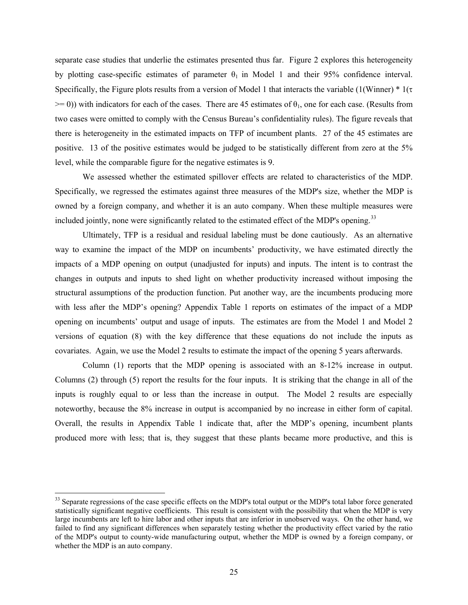<span id="page-26-0"></span>separate case studies that underlie the estimates presented thus far. Figure 2 explores this heterogeneity by plotting case-specific estimates of parameter  $\theta_1$  in Model 1 and their 95% confidence interval. Specifically, the Figure plots results from a version of Model 1 that interacts the variable (1(Winner)  $*1(\tau)$  $\geq$  = 0)) with indicators for each of the cases. There are 45 estimates of  $\theta_1$ , one for each case. (Results from two cases were omitted to comply with the Census Bureau's confidentiality rules). The figure reveals that there is heterogeneity in the estimated impacts on TFP of incumbent plants. 27 of the 45 estimates are positive. 13 of the positive estimates would be judged to be statistically different from zero at the 5% level, while the comparable figure for the negative estimates is 9.

We assessed whether the estimated spillover effects are related to characteristics of the MDP. Specifically, we regressed the estimates against three measures of the MDP's size, whether the MDP is owned by a foreign company, and whether it is an auto company. When these multiple measures were included jointly, none were significantly related to the estimated effect of the MDP's opening.<sup>[33](#page-26-0)</sup>

 Ultimately, TFP is a residual and residual labeling must be done cautiously. As an alternative way to examine the impact of the MDP on incumbents' productivity, we have estimated directly the impacts of a MDP opening on output (unadjusted for inputs) and inputs. The intent is to contrast the changes in outputs and inputs to shed light on whether productivity increased without imposing the structural assumptions of the production function. Put another way, are the incumbents producing more with less after the MDP's opening? Appendix Table 1 reports on estimates of the impact of a MDP opening on incumbents' output and usage of inputs. The estimates are from the Model 1 and Model 2 versions of equation (8) with the key difference that these equations do not include the inputs as covariates. Again, we use the Model 2 results to estimate the impact of the opening 5 years afterwards.

Column (1) reports that the MDP opening is associated with an 8-12% increase in output. Columns (2) through (5) report the results for the four inputs. It is striking that the change in all of the inputs is roughly equal to or less than the increase in output. The Model 2 results are especially noteworthy, because the 8% increase in output is accompanied by no increase in either form of capital. Overall, the results in Appendix Table 1 indicate that, after the MDP's opening, incumbent plants produced more with less; that is, they suggest that these plants became more productive, and this is

<sup>&</sup>lt;sup>33</sup> Separate regressions of the case specific effects on the MDP's total output or the MDP's total labor force generated statistically significant negative coefficients. This result is consistent with the possibility that when the MDP is very large incumbents are left to hire labor and other inputs that are inferior in unobserved ways. On the other hand, we failed to find any significant differences when separately testing whether the productivity effect varied by the ratio of the MDP's output to county-wide manufacturing output, whether the MDP is owned by a foreign company, or whether the MDP is an auto company.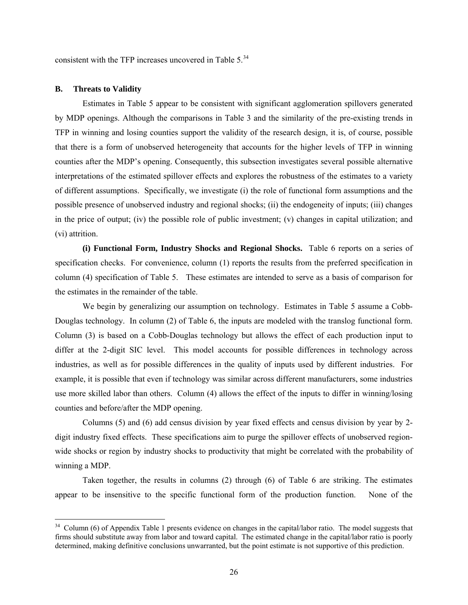<span id="page-27-0"></span>consistent with the TFP increases uncovered in Table 5.<sup>[34](#page-27-0)</sup>

#### **B. Threats to Validity**

 $\overline{a}$ 

Estimates in Table 5 appear to be consistent with significant agglomeration spillovers generated by MDP openings. Although the comparisons in Table 3 and the similarity of the pre-existing trends in TFP in winning and losing counties support the validity of the research design, it is, of course, possible that there is a form of unobserved heterogeneity that accounts for the higher levels of TFP in winning counties after the MDP's opening. Consequently, this subsection investigates several possible alternative interpretations of the estimated spillover effects and explores the robustness of the estimates to a variety of different assumptions. Specifically, we investigate (i) the role of functional form assumptions and the possible presence of unobserved industry and regional shocks; (ii) the endogeneity of inputs; (iii) changes in the price of output; (iv) the possible role of public investment; (v) changes in capital utilization; and (vi) attrition.

**(i) Functional Form, Industry Shocks and Regional Shocks.** Table 6 reports on a series of specification checks. For convenience, column (1) reports the results from the preferred specification in column (4) specification of Table 5. These estimates are intended to serve as a basis of comparison for the estimates in the remainder of the table.

We begin by generalizing our assumption on technology. Estimates in Table 5 assume a Cobb-Douglas technology. In column (2) of Table 6, the inputs are modeled with the translog functional form. Column (3) is based on a Cobb-Douglas technology but allows the effect of each production input to differ at the 2-digit SIC level. This model accounts for possible differences in technology across industries, as well as for possible differences in the quality of inputs used by different industries. For example, it is possible that even if technology was similar across different manufacturers, some industries use more skilled labor than others. Column (4) allows the effect of the inputs to differ in winning/losing counties and before/after the MDP opening.

Columns (5) and (6) add census division by year fixed effects and census division by year by 2 digit industry fixed effects. These specifications aim to purge the spillover effects of unobserved regionwide shocks or region by industry shocks to productivity that might be correlated with the probability of winning a MDP.

Taken together, the results in columns (2) through (6) of Table 6 are striking. The estimates appear to be insensitive to the specific functional form of the production function. None of the

<sup>&</sup>lt;sup>34</sup> Column (6) of Appendix Table 1 presents evidence on changes in the capital/labor ratio. The model suggests that firms should substitute away from labor and toward capital. The estimated change in the capital/labor ratio is poorly determined, making definitive conclusions unwarranted, but the point estimate is not supportive of this prediction.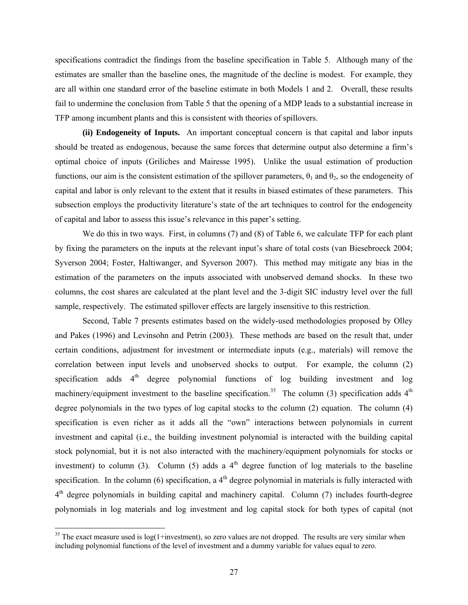<span id="page-28-0"></span>specifications contradict the findings from the baseline specification in Table 5. Although many of the estimates are smaller than the baseline ones, the magnitude of the decline is modest. For example, they are all within one standard error of the baseline estimate in both Models 1 and 2. Overall, these results fail to undermine the conclusion from Table 5 that the opening of a MDP leads to a substantial increase in TFP among incumbent plants and this is consistent with theories of spillovers.

**(ii) Endogeneity of Inputs.** An important conceptual concern is that capital and labor inputs should be treated as endogenous, because the same forces that determine output also determine a firm's optimal choice of inputs (Griliches and Mairesse 1995). Unlike the usual estimation of production functions, our aim is the consistent estimation of the spillover parameters,  $\theta_1$  and  $\theta_2$ , so the endogeneity of capital and labor is only relevant to the extent that it results in biased estimates of these parameters. This subsection employs the productivity literature's state of the art techniques to control for the endogeneity of capital and labor to assess this issue's relevance in this paper's setting.

We do this in two ways. First, in columns (7) and (8) of Table 6, we calculate TFP for each plant by fixing the parameters on the inputs at the relevant input's share of total costs (van Biesebroeck 2004; Syverson 2004; Foster, Haltiwanger, and Syverson 2007). This method may mitigate any bias in the estimation of the parameters on the inputs associated with unobserved demand shocks. In these two columns, the cost shares are calculated at the plant level and the 3-digit SIC industry level over the full sample, respectively. The estimated spillover effects are largely insensitive to this restriction.

 Second, Table 7 presents estimates based on the widely-used methodologies proposed by Olley and Pakes (1996) and Levinsohn and Petrin (2003). These methods are based on the result that, under certain conditions, adjustment for investment or intermediate inputs (e.g., materials) will remove the correlation between input levels and unobserved shocks to output. For example, the column (2) specification adds  $4<sup>th</sup>$  degree polynomial functions of log building investment and log machinery/equipment investment to the baseline specification.<sup>[35](#page-28-0)</sup> The column (3) specification adds  $4<sup>th</sup>$ degree polynomials in the two types of log capital stocks to the column (2) equation. The column (4) specification is even richer as it adds all the "own" interactions between polynomials in current investment and capital (i.e., the building investment polynomial is interacted with the building capital stock polynomial, but it is not also interacted with the machinery/equipment polynomials for stocks or investment) to column (3). Column (5) adds a  $4<sup>th</sup>$  degree function of log materials to the baseline specification. In the column  $(6)$  specification, a 4<sup>th</sup> degree polynomial in materials is fully interacted with 4<sup>th</sup> degree polynomials in building capital and machinery capital. Column (7) includes fourth-degree polynomials in log materials and log investment and log capital stock for both types of capital (not

 $35$  The exact measure used is  $log(1+*investment*)$ , so zero values are not dropped. The results are very similar when including polynomial functions of the level of investment and a dummy variable for values equal to zero.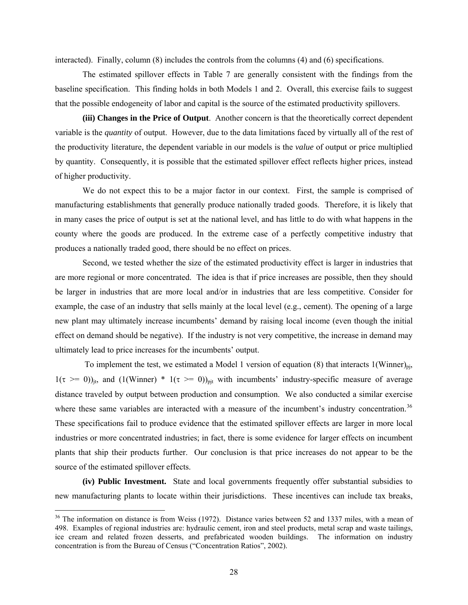<span id="page-29-0"></span>interacted). Finally, column (8) includes the controls from the columns (4) and (6) specifications.

 The estimated spillover effects in Table 7 are generally consistent with the findings from the baseline specification. This finding holds in both Models 1 and 2. Overall, this exercise fails to suggest that the possible endogeneity of labor and capital is the source of the estimated productivity spillovers.

**(iii) Changes in the Price of Output**. Another concern is that the theoretically correct dependent variable is the *quantity* of output. However, due to the data limitations faced by virtually all of the rest of the productivity literature, the dependent variable in our models is the *value* of output or price multiplied by quantity. Consequently, it is possible that the estimated spillover effect reflects higher prices, instead of higher productivity.

We do not expect this to be a major factor in our context. First, the sample is comprised of manufacturing establishments that generally produce nationally traded goods. Therefore, it is likely that in many cases the price of output is set at the national level, and has little to do with what happens in the county where the goods are produced. In the extreme case of a perfectly competitive industry that produces a nationally traded good, there should be no effect on prices.

Second, we tested whether the size of the estimated productivity effect is larger in industries that are more regional or more concentrated. The idea is that if price increases are possible, then they should be larger in industries that are more local and/or in industries that are less competitive. Consider for example, the case of an industry that sells mainly at the local level (e.g., cement). The opening of a large new plant may ultimately increase incumbents' demand by raising local income (even though the initial effect on demand should be negative). If the industry is not very competitive, the increase in demand may ultimately lead to price increases for the incumbents' output.

To implement the test, we estimated a Model 1 version of equation (8) that interacts  $1(\text{Winner})_{\text{pi}}$ ,  $1(\tau \ge 0)$ <sub>it</sub>, and  $(1(\text{Winner}) * 1(\tau \ge 0))_{\text{pit}}$  with incumbents' industry-specific measure of average distance traveled by output between production and consumption. We also conducted a similar exercise where these same variables are interacted with a measure of the incumbent's industry concentration.<sup>36</sup> These specifications fail to produce evidence that the estimated spillover effects are larger in more local industries or more concentrated industries; in fact, there is some evidence for larger effects on incumbent plants that ship their products further. Our conclusion is that price increases do not appear to be the source of the estimated spillover effects.

**(iv) Public Investment.** State and local governments frequently offer substantial subsidies to new manufacturing plants to locate within their jurisdictions. These incentives can include tax breaks,

<sup>&</sup>lt;sup>36</sup> The information on distance is from Weiss (1972). Distance varies between 52 and 1337 miles, with a mean of 498. Examples of regional industries are: hydraulic cement, iron and steel products, metal scrap and waste tailings, ice cream and related frozen desserts, and prefabricated wooden buildings. The information on industry concentration is from the Bureau of Census ("Concentration Ratios", 2002).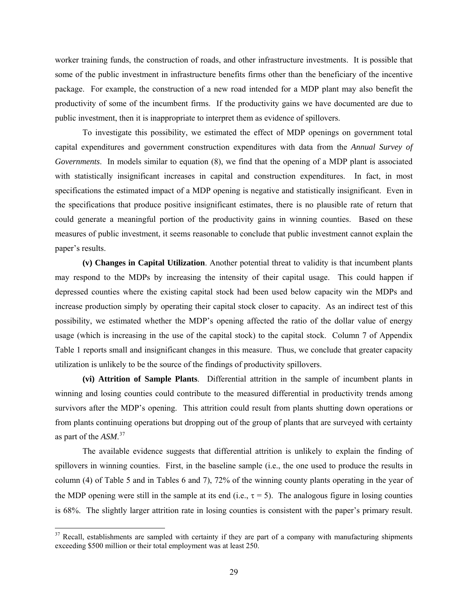<span id="page-30-0"></span>worker training funds, the construction of roads, and other infrastructure investments. It is possible that some of the public investment in infrastructure benefits firms other than the beneficiary of the incentive package. For example, the construction of a new road intended for a MDP plant may also benefit the productivity of some of the incumbent firms. If the productivity gains we have documented are due to public investment, then it is inappropriate to interpret them as evidence of spillovers.

To investigate this possibility, we estimated the effect of MDP openings on government total capital expenditures and government construction expenditures with data from the *Annual Survey of Governments*. In models similar to equation (8), we find that the opening of a MDP plant is associated with statistically insignificant increases in capital and construction expenditures. In fact, in most specifications the estimated impact of a MDP opening is negative and statistically insignificant. Even in the specifications that produce positive insignificant estimates, there is no plausible rate of return that could generate a meaningful portion of the productivity gains in winning counties. Based on these measures of public investment, it seems reasonable to conclude that public investment cannot explain the paper's results.

**(v) Changes in Capital Utilization**. Another potential threat to validity is that incumbent plants may respond to the MDPs by increasing the intensity of their capital usage. This could happen if depressed counties where the existing capital stock had been used below capacity win the MDPs and increase production simply by operating their capital stock closer to capacity. As an indirect test of this possibility, we estimated whether the MDP's opening affected the ratio of the dollar value of energy usage (which is increasing in the use of the capital stock) to the capital stock. Column 7 of Appendix Table 1 reports small and insignificant changes in this measure. Thus, we conclude that greater capacity utilization is unlikely to be the source of the findings of productivity spillovers.

**(vi) Attrition of Sample Plants**. Differential attrition in the sample of incumbent plants in winning and losing counties could contribute to the measured differential in productivity trends among survivors after the MDP's opening. This attrition could result from plants shutting down operations or from plants continuing operations but dropping out of the group of plants that are surveyed with certainty as part of the *ASM*. [37](#page-30-0)

The available evidence suggests that differential attrition is unlikely to explain the finding of spillovers in winning counties. First, in the baseline sample (i.e., the one used to produce the results in column (4) of Table 5 and in Tables 6 and 7), 72% of the winning county plants operating in the year of the MDP opening were still in the sample at its end (i.e.,  $\tau = 5$ ). The analogous figure in losing counties is 68%. The slightly larger attrition rate in losing counties is consistent with the paper's primary result.

 $37$  Recall, establishments are sampled with certainty if they are part of a company with manufacturing shipments exceeding \$500 million or their total employment was at least 250.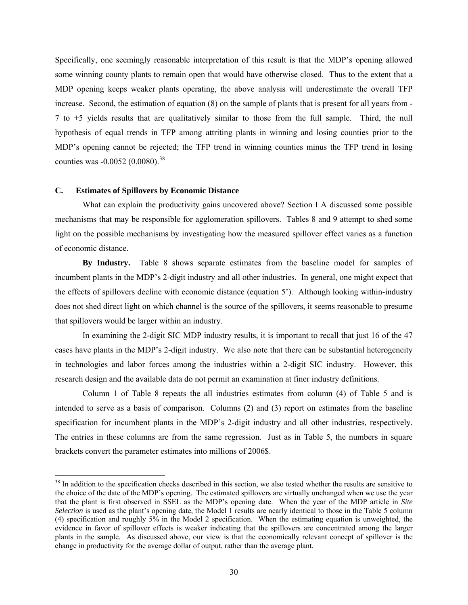<span id="page-31-0"></span>Specifically, one seemingly reasonable interpretation of this result is that the MDP's opening allowed some winning county plants to remain open that would have otherwise closed. Thus to the extent that a MDP opening keeps weaker plants operating, the above analysis will underestimate the overall TFP increase. Second, the estimation of equation (8) on the sample of plants that is present for all years from - 7 to +5 yields results that are qualitatively similar to those from the full sample. Third, the null hypothesis of equal trends in TFP among attriting plants in winning and losing counties prior to the MDP's opening cannot be rejected; the TFP trend in winning counties minus the TFP trend in losing counties was -0.0052 (0.0080).<sup>[38](#page-31-0)</sup>

### **C. Estimates of Spillovers by Economic Distance**

 $\overline{a}$ 

 What can explain the productivity gains uncovered above? Section I A discussed some possible mechanisms that may be responsible for agglomeration spillovers. Tables 8 and 9 attempt to shed some light on the possible mechanisms by investigating how the measured spillover effect varies as a function of economic distance.

**By Industry.** Table 8 shows separate estimates from the baseline model for samples of incumbent plants in the MDP's 2-digit industry and all other industries. In general, one might expect that the effects of spillovers decline with economic distance (equation 5'). Although looking within-industry does not shed direct light on which channel is the source of the spillovers, it seems reasonable to presume that spillovers would be larger within an industry.

In examining the 2-digit SIC MDP industry results, it is important to recall that just 16 of the 47 cases have plants in the MDP's 2-digit industry. We also note that there can be substantial heterogeneity in technologies and labor forces among the industries within a 2-digit SIC industry. However, this research design and the available data do not permit an examination at finer industry definitions.

Column 1 of Table 8 repeats the all industries estimates from column (4) of Table 5 and is intended to serve as a basis of comparison. Columns (2) and (3) report on estimates from the baseline specification for incumbent plants in the MDP's 2-digit industry and all other industries, respectively. The entries in these columns are from the same regression. Just as in Table 5, the numbers in square brackets convert the parameter estimates into millions of 2006\$.

<sup>&</sup>lt;sup>38</sup> In addition to the specification checks described in this section, we also tested whether the results are sensitive to the choice of the date of the MDP's opening. The estimated spillovers are virtually unchanged when we use the year that the plant is first observed in SSEL as the MDP's opening date. When the year of the MDP article in *Site Selection* is used as the plant's opening date, the Model 1 results are nearly identical to those in the Table 5 column (4) specification and roughly 5% in the Model 2 specification. When the estimating equation is unweighted, the evidence in favor of spillover effects is weaker indicating that the spillovers are concentrated among the larger plants in the sample. As discussed above, our view is that the economically relevant concept of spillover is the change in productivity for the average dollar of output, rather than the average plant.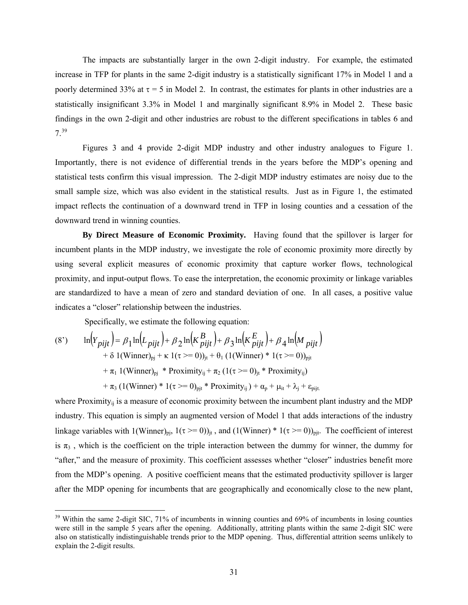<span id="page-32-0"></span>The impacts are substantially larger in the own 2-digit industry. For example, the estimated increase in TFP for plants in the same 2-digit industry is a statistically significant 17% in Model 1 and a poorly determined 33% at  $\tau = 5$  in Model 2. In contrast, the estimates for plants in other industries are a statistically insignificant 3.3% in Model 1 and marginally significant 8.9% in Model 2. These basic findings in the own 2-digit and other industries are robust to the different specifications in tables 6 and 7.[39](#page-32-0)

 Figures 3 and 4 provide 2-digit MDP industry and other industry analogues to Figure 1. Importantly, there is not evidence of differential trends in the years before the MDP's opening and statistical tests confirm this visual impression. The 2-digit MDP industry estimates are noisy due to the small sample size, which was also evident in the statistical results. Just as in Figure 1, the estimated impact reflects the continuation of a downward trend in TFP in losing counties and a cessation of the downward trend in winning counties.

**By Direct Measure of Economic Proximity.** Having found that the spillover is larger for incumbent plants in the MDP industry, we investigate the role of economic proximity more directly by using several explicit measures of economic proximity that capture worker flows, technological proximity, and input-output flows. To ease the interpretation, the economic proximity or linkage variables are standardized to have a mean of zero and standard deviation of one. In all cases, a positive value indicates a "closer" relationship between the industries.

Specifically, we estimate the following equation:

 $\overline{a}$ 

(8') 
$$
\ln(Y_{pijt}) = \beta_1 \ln(L_{pijt}) + \beta_2 \ln(K_{pijt}^B) + \beta_3 \ln(K_{pijt}^E) + \beta_4 \ln(M_{pijt}) + \delta_1
$$
  
+  $\delta$  1(Winner)<sub>pi</sub> +  $\kappa$  1( $\tau$  >= 0))<sub>jt</sub> +  $\theta_1$  (1(Winner) \* 1( $\tau$  >= 0))<sub>pit</sub>  
+  $\pi_1$  1(Winner)<sub>pi</sub> \* Proximity<sub>ij</sub> +  $\pi_2$  (1( $\tau$  >= 0)<sub>jt</sub> \* Proximity<sub>ij</sub>)  
+  $\pi_3$  (1(Winner) \* 1( $\tau$  >= 0)<sub>pi</sub> \* Proximity<sub>ij</sub>) +  $\alpha_p$  +  $\mu_{it}$  +  $\lambda_j$  +  $\varepsilon_{piit}$ .

where Proximity $_{ii}$  is a measure of economic proximity between the incumbent plant industry and the MDP industry. This equation is simply an augmented version of Model 1 that adds interactions of the industry linkage variables with 1(Winner)<sub>pj</sub>,  $1(\tau \ge 0)$ <sub>jt</sub>, and  $(1(\text{Winner}) * 1(\tau \ge 0))$ <sub>pit</sub>. The coefficient of interest is  $\pi_3$ , which is the coefficient on the triple interaction between the dummy for winner, the dummy for "after," and the measure of proximity. This coefficient assesses whether "closer" industries benefit more from the MDP's opening. A positive coefficient means that the estimated productivity spillover is larger after the MDP opening for incumbents that are geographically and economically close to the new plant,

<sup>&</sup>lt;sup>39</sup> Within the same 2-digit SIC, 71% of incumbents in winning counties and 69% of incumbents in losing counties were still in the sample 5 years after the opening. Additionally, attriting plants within the same 2-digit SIC were also on statistically indistinguishable trends prior to the MDP opening. Thus, differential attrition seems unlikely to explain the 2-digit results.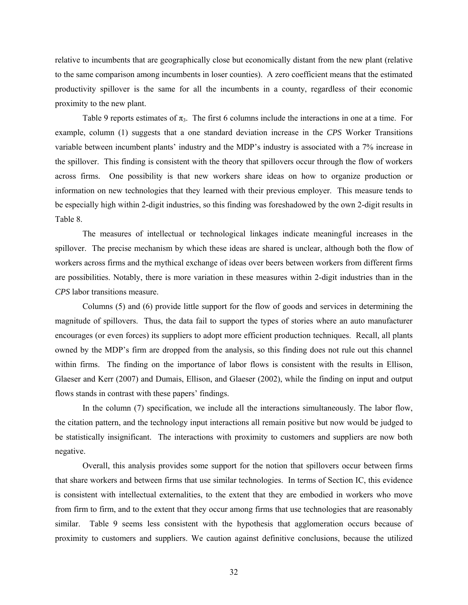relative to incumbents that are geographically close but economically distant from the new plant (relative to the same comparison among incumbents in loser counties). A zero coefficient means that the estimated productivity spillover is the same for all the incumbents in a county, regardless of their economic proximity to the new plant.

Table 9 reports estimates of  $\pi_3$ . The first 6 columns include the interactions in one at a time. For example, column (1) suggests that a one standard deviation increase in the *CPS* Worker Transitions variable between incumbent plants' industry and the MDP's industry is associated with a 7% increase in the spillover. This finding is consistent with the theory that spillovers occur through the flow of workers across firms. One possibility is that new workers share ideas on how to organize production or information on new technologies that they learned with their previous employer. This measure tends to be especially high within 2-digit industries, so this finding was foreshadowed by the own 2-digit results in Table 8.

The measures of intellectual or technological linkages indicate meaningful increases in the spillover. The precise mechanism by which these ideas are shared is unclear, although both the flow of workers across firms and the mythical exchange of ideas over beers between workers from different firms are possibilities. Notably, there is more variation in these measures within 2-digit industries than in the *CPS* labor transitions measure.

Columns (5) and (6) provide little support for the flow of goods and services in determining the magnitude of spillovers. Thus, the data fail to support the types of stories where an auto manufacturer encourages (or even forces) its suppliers to adopt more efficient production techniques. Recall, all plants owned by the MDP's firm are dropped from the analysis, so this finding does not rule out this channel within firms. The finding on the importance of labor flows is consistent with the results in Ellison, Glaeser and Kerr (2007) and Dumais, Ellison, and Glaeser (2002), while the finding on input and output flows stands in contrast with these papers' findings.

 In the column (7) specification, we include all the interactions simultaneously. The labor flow, the citation pattern, and the technology input interactions all remain positive but now would be judged to be statistically insignificant. The interactions with proximity to customers and suppliers are now both negative.

Overall, this analysis provides some support for the notion that spillovers occur between firms that share workers and between firms that use similar technologies. In terms of Section IC, this evidence is consistent with intellectual externalities, to the extent that they are embodied in workers who move from firm to firm, and to the extent that they occur among firms that use technologies that are reasonably similar. Table 9 seems less consistent with the hypothesis that agglomeration occurs because of proximity to customers and suppliers. We caution against definitive conclusions, because the utilized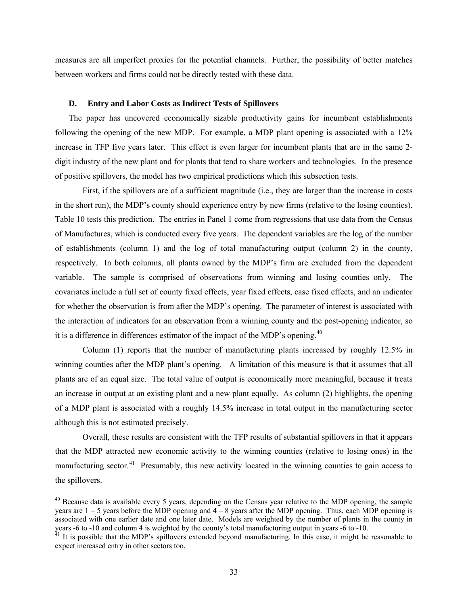<span id="page-34-0"></span>measures are all imperfect proxies for the potential channels. Further, the possibility of better matches between workers and firms could not be directly tested with these data.

#### **D. Entry and Labor Costs as Indirect Tests of Spillovers**

The paper has uncovered economically sizable productivity gains for incumbent establishments following the opening of the new MDP. For example, a MDP plant opening is associated with a 12% increase in TFP five years later. This effect is even larger for incumbent plants that are in the same 2 digit industry of the new plant and for plants that tend to share workers and technologies. In the presence of positive spillovers, the model has two empirical predictions which this subsection tests.

First, if the spillovers are of a sufficient magnitude (i.e., they are larger than the increase in costs in the short run), the MDP's county should experience entry by new firms (relative to the losing counties). Table 10 tests this prediction. The entries in Panel 1 come from regressions that use data from the Census of Manufactures, which is conducted every five years. The dependent variables are the log of the number of establishments (column 1) and the log of total manufacturing output (column 2) in the county, respectively. In both columns, all plants owned by the MDP's firm are excluded from the dependent variable. The sample is comprised of observations from winning and losing counties only. The covariates include a full set of county fixed effects, year fixed effects, case fixed effects, and an indicator for whether the observation is from after the MDP's opening. The parameter of interest is associated with the interaction of indicators for an observation from a winning county and the post-opening indicator, so it is a difference in differences estimator of the impact of the MDP's opening.<sup>[40](#page-34-0)</sup>

Column (1) reports that the number of manufacturing plants increased by roughly 12.5% in winning counties after the MDP plant's opening. A limitation of this measure is that it assumes that all plants are of an equal size. The total value of output is economically more meaningful, because it treats an increase in output at an existing plant and a new plant equally. As column (2) highlights, the opening of a MDP plant is associated with a roughly 14.5% increase in total output in the manufacturing sector although this is not estimated precisely.

Overall, these results are consistent with the TFP results of substantial spillovers in that it appears that the MDP attracted new economic activity to the winning counties (relative to losing ones) in the manufacturing sector.<sup>[41](#page-34-0)</sup> Presumably, this new activity located in the winning counties to gain access to the spillovers.

 $40$  Because data is available every 5 years, depending on the Census year relative to the MDP opening, the sample years are 1 – 5 years before the MDP opening and 4 – 8 years after the MDP opening. Thus, each MDP opening is associated with one earlier date and one later date. Models are weighted by the number of plants in the county in years -6 to -10 and column 4 is weighted by the county's total manufacturing output in years -6 to -10.

<sup>&</sup>lt;sup>41</sup> It is possible that the MDP's spillovers extended beyond manufacturing. In this case, it might be reasonable to expect increased entry in other sectors too.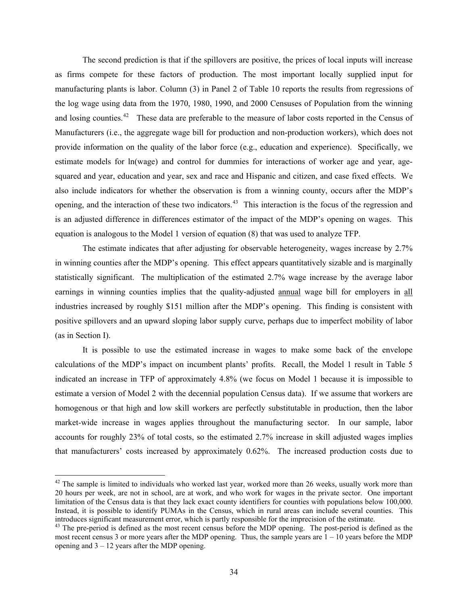<span id="page-35-0"></span>The second prediction is that if the spillovers are positive, the prices of local inputs will increase as firms compete for these factors of production. The most important locally supplied input for manufacturing plants is labor. Column (3) in Panel 2 of Table 10 reports the results from regressions of the log wage using data from the 1970, 1980, 1990, and 2000 Censuses of Population from the winning and losing counties.<sup>[42](#page-35-0)</sup> These data are preferable to the measure of labor costs reported in the Census of Manufacturers (i.e., the aggregate wage bill for production and non-production workers), which does not provide information on the quality of the labor force (e.g., education and experience). Specifically, we estimate models for ln(wage) and control for dummies for interactions of worker age and year, agesquared and year, education and year, sex and race and Hispanic and citizen, and case fixed effects. We also include indicators for whether the observation is from a winning county, occurs after the MDP's opening, and the interaction of these two indicators.[43](#page-35-0) This interaction is the focus of the regression and is an adjusted difference in differences estimator of the impact of the MDP's opening on wages. This equation is analogous to the Model 1 version of equation (8) that was used to analyze TFP.

The estimate indicates that after adjusting for observable heterogeneity, wages increase by 2.7% in winning counties after the MDP's opening. This effect appears quantitatively sizable and is marginally statistically significant. The multiplication of the estimated 2.7% wage increase by the average labor earnings in winning counties implies that the quality-adjusted annual wage bill for employers in all industries increased by roughly \$151 million after the MDP's opening. This finding is consistent with positive spillovers and an upward sloping labor supply curve, perhaps due to imperfect mobility of labor (as in Section I).

It is possible to use the estimated increase in wages to make some back of the envelope calculations of the MDP's impact on incumbent plants' profits. Recall, the Model 1 result in Table 5 indicated an increase in TFP of approximately 4.8% (we focus on Model 1 because it is impossible to estimate a version of Model 2 with the decennial population Census data). If we assume that workers are homogenous or that high and low skill workers are perfectly substitutable in production, then the labor market-wide increase in wages applies throughout the manufacturing sector. In our sample, labor accounts for roughly 23% of total costs, so the estimated 2.7% increase in skill adjusted wages implies that manufacturers' costs increased by approximately 0.62%. The increased production costs due to

 $42$  The sample is limited to individuals who worked last year, worked more than 26 weeks, usually work more than 20 hours per week, are not in school, are at work, and who work for wages in the private sector. One important limitation of the Census data is that they lack exact county identifiers for counties with populations below 100,000. Instead, it is possible to identify PUMAs in the Census, which in rural areas can include several counties. This introduces significant measurement error, which is partly responsible for the imprecision of the estimate. 43 The pre-period is defined as the most recent census before the MDP opening. The post-period is defined as the

most recent census 3 or more years after the MDP opening. Thus, the sample years are  $1 - 10$  years before the MDP opening and 3 – 12 years after the MDP opening.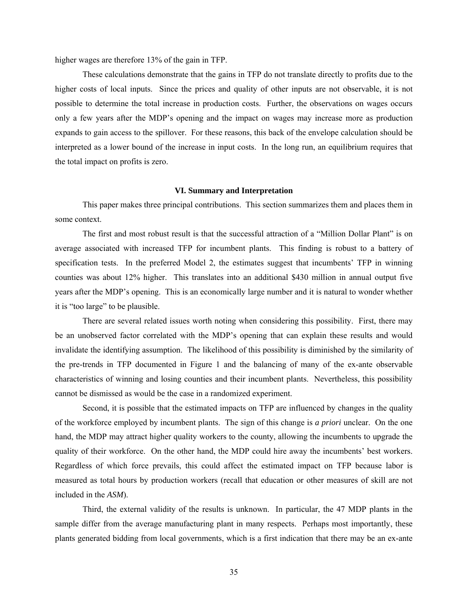higher wages are therefore 13% of the gain in TFP.

These calculations demonstrate that the gains in TFP do not translate directly to profits due to the higher costs of local inputs. Since the prices and quality of other inputs are not observable, it is not possible to determine the total increase in production costs. Further, the observations on wages occurs only a few years after the MDP's opening and the impact on wages may increase more as production expands to gain access to the spillover. For these reasons, this back of the envelope calculation should be interpreted as a lower bound of the increase in input costs. In the long run, an equilibrium requires that the total impact on profits is zero.

#### **VI. Summary and Interpretation**

 This paper makes three principal contributions. This section summarizes them and places them in some context.

 The first and most robust result is that the successful attraction of a "Million Dollar Plant" is on average associated with increased TFP for incumbent plants. This finding is robust to a battery of specification tests. In the preferred Model 2, the estimates suggest that incumbents' TFP in winning counties was about 12% higher. This translates into an additional \$430 million in annual output five years after the MDP's opening. This is an economically large number and it is natural to wonder whether it is "too large" to be plausible.

 There are several related issues worth noting when considering this possibility. First, there may be an unobserved factor correlated with the MDP's opening that can explain these results and would invalidate the identifying assumption. The likelihood of this possibility is diminished by the similarity of the pre-trends in TFP documented in Figure 1 and the balancing of many of the ex-ante observable characteristics of winning and losing counties and their incumbent plants. Nevertheless, this possibility cannot be dismissed as would be the case in a randomized experiment.

Second, it is possible that the estimated impacts on TFP are influenced by changes in the quality of the workforce employed by incumbent plants. The sign of this change is *a priori* unclear. On the one hand, the MDP may attract higher quality workers to the county, allowing the incumbents to upgrade the quality of their workforce. On the other hand, the MDP could hire away the incumbents' best workers. Regardless of which force prevails, this could affect the estimated impact on TFP because labor is measured as total hours by production workers (recall that education or other measures of skill are not included in the *ASM*).

Third, the external validity of the results is unknown. In particular, the 47 MDP plants in the sample differ from the average manufacturing plant in many respects. Perhaps most importantly, these plants generated bidding from local governments, which is a first indication that there may be an ex-ante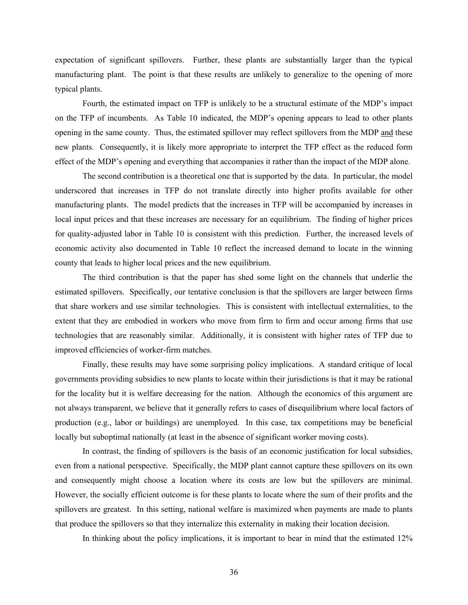expectation of significant spillovers. Further, these plants are substantially larger than the typical manufacturing plant. The point is that these results are unlikely to generalize to the opening of more typical plants.

 Fourth, the estimated impact on TFP is unlikely to be a structural estimate of the MDP's impact on the TFP of incumbents. As Table 10 indicated, the MDP's opening appears to lead to other plants opening in the same county. Thus, the estimated spillover may reflect spillovers from the MDP and these new plants. Consequently, it is likely more appropriate to interpret the TFP effect as the reduced form effect of the MDP's opening and everything that accompanies it rather than the impact of the MDP alone.

 The second contribution is a theoretical one that is supported by the data. In particular, the model underscored that increases in TFP do not translate directly into higher profits available for other manufacturing plants. The model predicts that the increases in TFP will be accompanied by increases in local input prices and that these increases are necessary for an equilibrium. The finding of higher prices for quality-adjusted labor in Table 10 is consistent with this prediction. Further, the increased levels of economic activity also documented in Table 10 reflect the increased demand to locate in the winning county that leads to higher local prices and the new equilibrium.

 The third contribution is that the paper has shed some light on the channels that underlie the estimated spillovers. Specifically, our tentative conclusion is that the spillovers are larger between firms that share workers and use similar technologies. This is consistent with intellectual externalities, to the extent that they are embodied in workers who move from firm to firm and occur among firms that use technologies that are reasonably similar. Additionally, it is consistent with higher rates of TFP due to improved efficiencies of worker-firm matches.

Finally, these results may have some surprising policy implications. A standard critique of local governments providing subsidies to new plants to locate within their jurisdictions is that it may be rational for the locality but it is welfare decreasing for the nation. Although the economics of this argument are not always transparent, we believe that it generally refers to cases of disequilibrium where local factors of production (e.g., labor or buildings) are unemployed. In this case, tax competitions may be beneficial locally but suboptimal nationally (at least in the absence of significant worker moving costs).

In contrast, the finding of spillovers is the basis of an economic justification for local subsidies, even from a national perspective. Specifically, the MDP plant cannot capture these spillovers on its own and consequently might choose a location where its costs are low but the spillovers are minimal. However, the socially efficient outcome is for these plants to locate where the sum of their profits and the spillovers are greatest. In this setting, national welfare is maximized when payments are made to plants that produce the spillovers so that they internalize this externality in making their location decision.

In thinking about the policy implications, it is important to bear in mind that the estimated 12%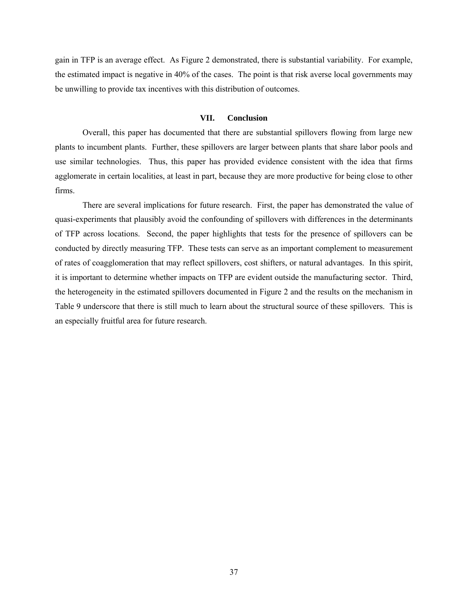gain in TFP is an average effect. As Figure 2 demonstrated, there is substantial variability. For example, the estimated impact is negative in 40% of the cases. The point is that risk averse local governments may be unwilling to provide tax incentives with this distribution of outcomes.

## **VII. Conclusion**

Overall, this paper has documented that there are substantial spillovers flowing from large new plants to incumbent plants. Further, these spillovers are larger between plants that share labor pools and use similar technologies. Thus, this paper has provided evidence consistent with the idea that firms agglomerate in certain localities, at least in part, because they are more productive for being close to other firms.

There are several implications for future research. First, the paper has demonstrated the value of quasi-experiments that plausibly avoid the confounding of spillovers with differences in the determinants of TFP across locations. Second, the paper highlights that tests for the presence of spillovers can be conducted by directly measuring TFP. These tests can serve as an important complement to measurement of rates of coagglomeration that may reflect spillovers, cost shifters, or natural advantages. In this spirit, it is important to determine whether impacts on TFP are evident outside the manufacturing sector. Third, the heterogeneity in the estimated spillovers documented in Figure 2 and the results on the mechanism in Table 9 underscore that there is still much to learn about the structural source of these spillovers. This is an especially fruitful area for future research.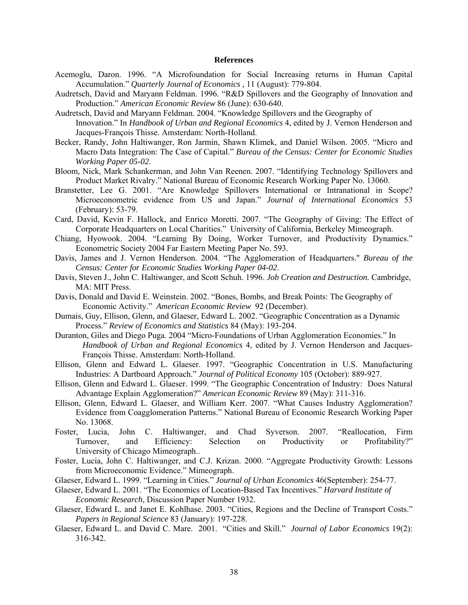#### **References**

- Acemoglu, Daron. 1996. "A Microfoundation for Social Increasing returns in Human Capital Accumulation." *Quarterly Journal of Economics ,* 11 (August): 779-804.
- Audretsch, David and Maryann Feldman. 1996. "R&D Spillovers and the Geography of Innovation and Production." *American Economic Review* 86 (June): 630-640.
- Audretsch, David and Maryann Feldman. 2004. "Knowledge Spillovers and the Geography of Innovation." In *Handbook of Urban and Regional Economics* 4, edited by J. Vernon Henderson and Jacques-François Thisse. Amsterdam: North-Holland.
- Becker, Randy, John Haltiwanger, Ron Jarmin, Shawn Klimek, and Daniel Wilson. 2005. "Micro and Macro Data Integration: The Case of Capital." *Bureau of the Census: Center for Economic Studies Working Paper 05-02*.
- Bloom, Nick, Mark Schankerman, and John Van Reenen. 2007. "Identifying Technology Spillovers and Product Market Rivalry." National Bureau of Economic Research Working Paper No. 13060.
- Branstetter, Lee G. 2001. "Are Knowledge Spillovers International or Intranational in Scope? Microeconometric evidence from US and Japan." *Journal of International Economics* 53 (February): 53-79.
- Card, David, Kevin F. Hallock, and Enrico Moretti. 2007. "The Geography of Giving: The Effect of Corporate Headquarters on Local Charities." University of California, Berkeley Mimeograph.
- Chiang, Hyowook. 2004. "Learning By Doing, Worker Turnover, and Productivity Dynamics." Econometric Society 2004 Far Eastern Meeting Paper No. 593.
- Davis, James and J. Vernon Henderson. 2004. "The Agglomeration of Headquarters." *Bureau of the Census: Center for Economic Studies Working Paper 04-02*.
- Davis, Steven J., John C. Haltiwanger, and Scott Schuh. 1996. *Job Creation and Destruction.* Cambridge, MA: MIT Press.
- Davis, Donald and David E. Weinstein. 2002. "Bones, Bombs, and Break Points: The Geography of Economic Activity." *American Economic Review* 92 (December).
- Dumais, Guy, Ellison, Glenn, and Glaeser, Edward L. 2002. "Geographic Concentration as a Dynamic Process." *Review of Economics and Statistics* 84 (May): 193-204.
- Duranton, Giles and Diego Puga. 2004 "Micro-Foundations of Urban Agglomeration Economies." In *Handbook of Urban and Regional Economics* 4, edited by J. Vernon Henderson and Jacques-François Thisse. Amsterdam: North-Holland.
- Ellison, Glenn and Edward L. Glaeser. 1997. "Geographic Concentration in U.S. Manufacturing Industries: A Dartboard Approach." *Journal of Political Economy* 105 (October): 889-927.
- Ellison, Glenn and Edward L. Glaeser. 1999. "The Geographic Concentration of Industry: Does Natural Advantage Explain Agglomeration?" *American Economic Review* 89 (May): 311-316.
- Ellison, Glenn, Edward L. Glaeser, and William Kerr. 2007. "What Causes Industry Agglomeration? Evidence from Coagglomeration Patterns." National Bureau of Economic Research Working Paper No. 13068.
- Foster, Lucia, John C. Haltiwanger, and Chad Syverson. 2007. "Reallocation, Firm Turnover, and Efficiency: Selection on Productivity or Profitability?" University of Chicago Mimeograph..
- Foster, Lucia, John C. Haltiwanger, and C.J. Krizan. 2000. "Aggregate Productivity Growth: Lessons from Microeconomic Evidence." Mimeograph.
- Glaeser, Edward L. 1999. "Learning in Cities." *Journal of Urban Economics* 46(September): 254-77.
- Glaeser, Edward L. 2001. "The Economics of Location-Based Tax Incentives." *Harvard Institute of Economic Research*, Discussion Paper Number 1932.
- Glaeser, Edward L. and Janet E. Kohlhase. 2003. "Cities, Regions and the Decline of Transport Costs." *Papers in Regional Science* 83 (January): 197-228.
- Glaeser, Edward L. and David C. Mare. 2001. "Cities and Skill." *Journal of Labor Economics* 19(2): 316-342.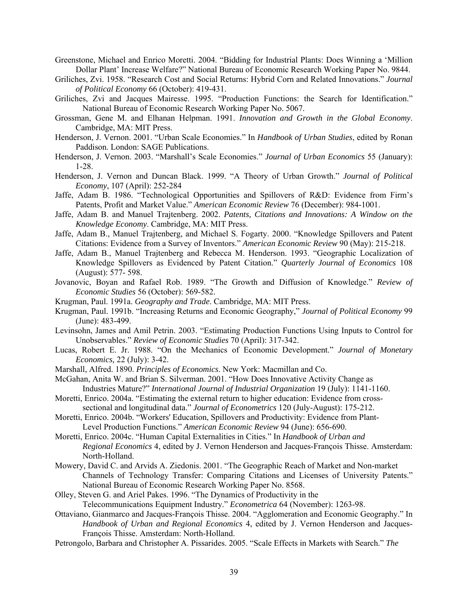- Greenstone, Michael and Enrico Moretti. 2004. "Bidding for Industrial Plants: Does Winning a 'Million Dollar Plant' Increase Welfare?" National Bureau of Economic Research Working Paper No. 9844.
- Griliches, Zvi. 1958. "Research Cost and Social Returns: Hybrid Corn and Related Innovations." *Journal of Political Economy* 66 (October): 419-431.
- Griliches, Zvi and Jacques Mairesse. 1995. "Production Functions: the Search for Identification." National Bureau of Economic Research Working Paper No. 5067.
- Grossman, Gene M. and Elhanan Helpman. 1991. *Innovation and Growth in the Global Economy*. Cambridge, MA: MIT Press.
- Henderson, J. Vernon. 2001. "Urban Scale Economies." In *Handbook of Urban Studies*, edited by Ronan Paddison. London: SAGE Publications.
- Henderson, J. Vernon. 2003. "Marshall's Scale Economies." *Journal of Urban Economics* 55 (January): 1-28.
- Henderson, J. Vernon and Duncan Black. 1999. "A Theory of Urban Growth." *Journal of Political Economy*, 107 (April): 252-284
- Jaffe, Adam B. 1986. "Technological Opportunities and Spillovers of R&D: Evidence from Firm's Patents, Profit and Market Value." *American Economic Review* 76 (December): 984-1001.
- Jaffe, Adam B. and Manuel Trajtenberg. 2002. *Patents, Citations and Innovations: A Window on the Knowledge Economy*. Cambridge, MA: MIT Press.
- Jaffe, Adam B., Manuel Trajtenberg, and Michael S. Fogarty. 2000. "Knowledge Spillovers and Patent Citations: Evidence from a Survey of Inventors." *American Economic Review* 90 (May): 215-218.
- Jaffe, Adam B., Manuel Trajtenberg and Rebecca M. Henderson. 1993. "Geographic Localization of Knowledge Spillovers as Evidenced by Patent Citation." *Quarterly Journal of Economics* 108 (August): 577- 598.
- Jovanovic, Boyan and Rafael Rob. 1989. "The Growth and Diffusion of Knowledge." *Review of Economic Studies* 56 (October): 569-582.
- Krugman, Paul. 1991a. *Geography and Trade*. Cambridge, MA: MIT Press.
- Krugman, Paul. 1991b. "Increasing Returns and Economic Geography," *Journal of Political Economy* 99 (June): 483-499.
- Levinsohn, James and Amil Petrin. 2003. "Estimating Production Functions Using Inputs to Control for Unobservables." *Review of Economic Studies* 70 (April): 317-342.
- Lucas, Robert E. Jr. 1988. "On the Mechanics of Economic Development." *Journal of Monetary Economics,* 22 (July): 3-42.
- Marshall, Alfred. 1890. *Principles of Economics*. New York: Macmillan and Co.
- McGahan, Anita W. and Brian S. Silverman. 2001. "How Does Innovative Activity Change as Industries Mature?" *International Journal of Industrial Organization* 19 (July): 1141-1160.
- Moretti, Enrico. 2004a. "Estimating the external return to higher education: Evidence from crosssectional and longitudinal data." *Journal of Econometrics* 120 (July-August): 175-212.
- Moretti, Enrico. 2004b. "Workers' Education, Spillovers and Productivity: Evidence from Plant-Level Production Functions." *American Economic Review* 94 (June): 656-690.
- Moretti, Enrico. 2004c. "Human Capital Externalities in Cities." In *Handbook of Urban and Regional Economics* 4, edited by J. Vernon Henderson and Jacques-François Thisse. Amsterdam: North-Holland.
- Mowery, David C. and Arvids A. Ziedonis. 2001. "The Geographic Reach of Market and Non-market Channels of Technology Transfer: Comparing Citations and Licenses of University Patents." National Bureau of Economic Research Working Paper No. 8568.
- Olley, Steven G. and Ariel Pakes. 1996. "The Dynamics of Productivity in the Telecommunications Equipment Industry." *Econometrica* 64 (November): 1263-98.
- Ottaviano, Gianmarco and Jacques-François Thisse. 2004. "Agglomeration and Economic Geography." In *Handbook of Urban and Regional Economics* 4, edited by J. Vernon Henderson and Jacques-François Thisse. Amsterdam: North-Holland.
- Petrongolo, Barbara and Christopher A. Pissarides. 2005. "Scale Effects in Markets with Search." *The*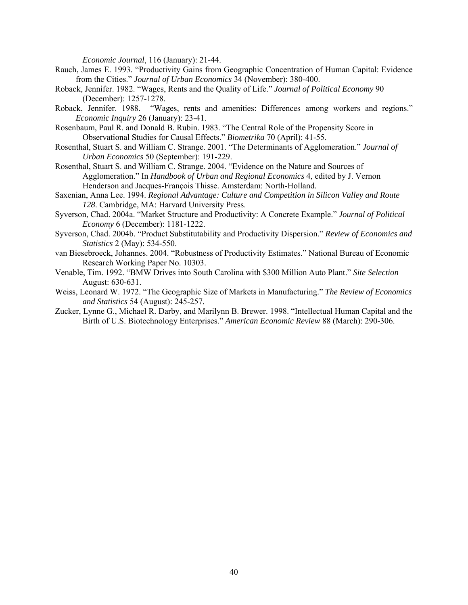*Economic Journal*, 116 (January): 21-44.

- Rauch, James E. 1993. "Productivity Gains from Geographic Concentration of Human Capital: Evidence from the Cities." *Journal of Urban Economics* 34 (November): 380-400.
- Roback, Jennifer. 1982. "Wages, Rents and the Quality of Life." *Journal of Political Economy* 90 (December): 1257-1278.
- Roback, Jennifer. 1988. "Wages, rents and amenities: Differences among workers and regions." *Economic Inquiry* 26 (January): 23-41.
- Rosenbaum, Paul R. and Donald B. Rubin. 1983. "The Central Role of the Propensity Score in Observational Studies for Causal Effects." *Biometrika* 70 (April): 41-55.
- Rosenthal, Stuart S. and William C. Strange. 2001. "The Determinants of Agglomeration." *Journal of Urban Economics* 50 (September): 191-229.
- Rosenthal, Stuart S. and William C. Strange. 2004. "Evidence on the Nature and Sources of Agglomeration." In *Handbook of Urban and Regional Economics* 4, edited by J. Vernon Henderson and Jacques-François Thisse. Amsterdam: North-Holland.
- Saxenian, Anna Lee. 1994. *Regional Advantage: Culture and Competition in Silicon Valley and Route 128*. Cambridge, MA: Harvard University Press.
- Syverson, Chad. 2004a. "Market Structure and Productivity: A Concrete Example." *Journal of Political Economy* 6 (December): 1181-1222.
- Syverson, Chad. 2004b. "Product Substitutability and Productivity Dispersion." *Review of Economics and Statistics* 2 (May): 534-550.
- van Biesebroeck, Johannes. 2004. "Robustness of Productivity Estimates." National Bureau of Economic Research Working Paper No. 10303.
- Venable, Tim. 1992. "BMW Drives into South Carolina with \$300 Million Auto Plant." *Site Selection* August: 630-631.
- Weiss, Leonard W. 1972. "The Geographic Size of Markets in Manufacturing." *The Review of Economics and Statistics* 54 (August): 245-257.
- Zucker, Lynne G., Michael R. Darby, and Marilynn B. Brewer. 1998. "Intellectual Human Capital and the Birth of U.S. Biotechnology Enterprises." *American Economic Review* 88 (March): 290-306.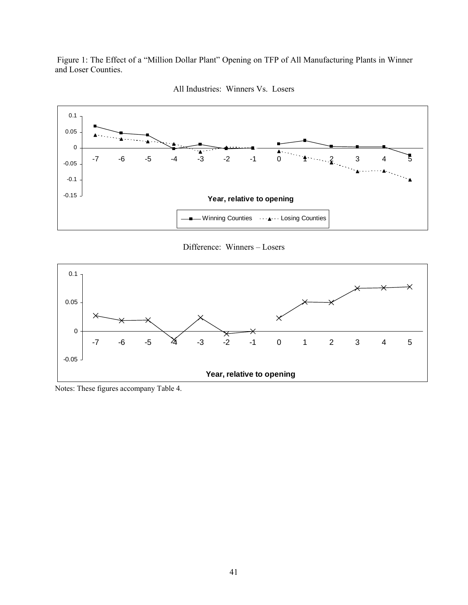Figure 1: The Effect of a "Million Dollar Plant" Opening on TFP of All Manufacturing Plants in Winner and Loser Counties.



All Industries: Winners Vs. Losers

Difference: Winners – Losers



Notes: These figures accompany Table 4.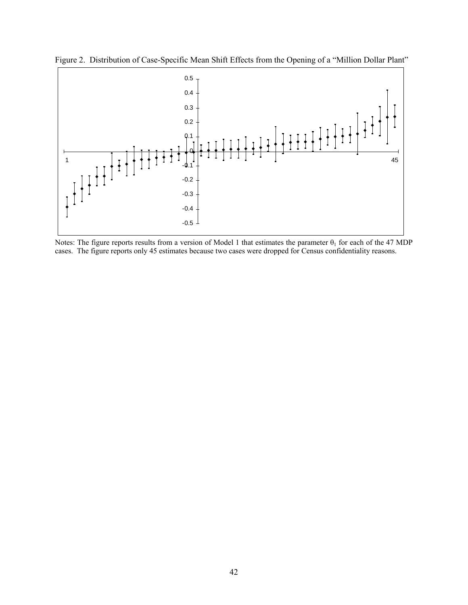

Figure 2. Distribution of Case-Specific Mean Shift Effects from the Opening of a "Million Dollar Plant"

Notes: The figure reports results from a version of Model 1 that estimates the parameter  $\theta_1$  for each of the 47 MDP cases. The figure reports only 45 estimates because two cases were dropped for Census confidentiality reasons.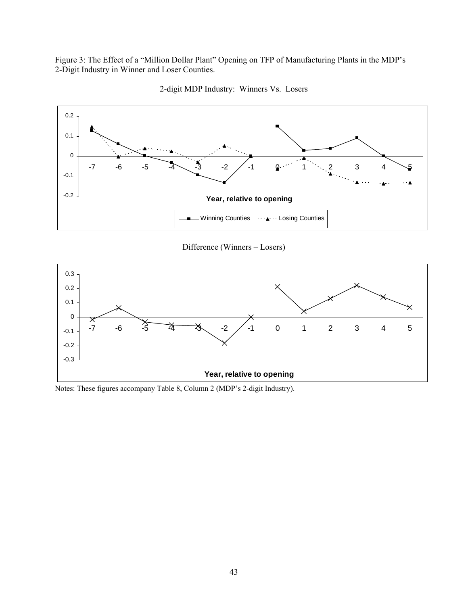Figure 3: The Effect of a "Million Dollar Plant" Opening on TFP of Manufacturing Plants in the MDP's 2-Digit Industry in Winner and Loser Counties.



2-digit MDP Industry: Winners Vs. Losers

Difference (Winners – Losers)



Notes: These figures accompany Table 8, Column 2 (MDP's 2-digit Industry).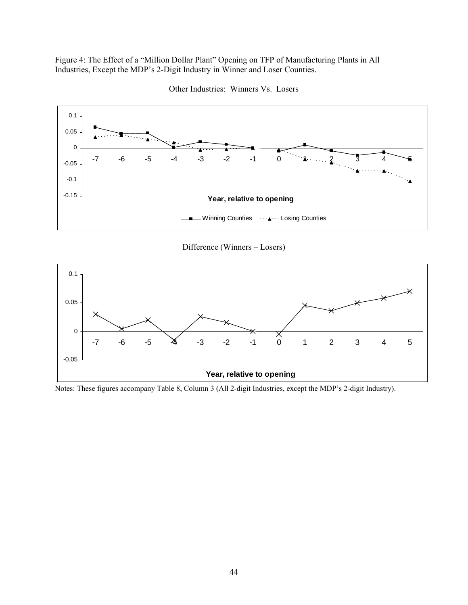Figure 4: The Effect of a "Million Dollar Plant" Opening on TFP of Manufacturing Plants in All Industries, Except the MDP's 2-Digit Industry in Winner and Loser Counties.



Other Industries: Winners Vs. Losers

Difference (Winners – Losers)



Notes: These figures accompany Table 8, Column 3 (All 2-digit Industries, except the MDP's 2-digit Industry).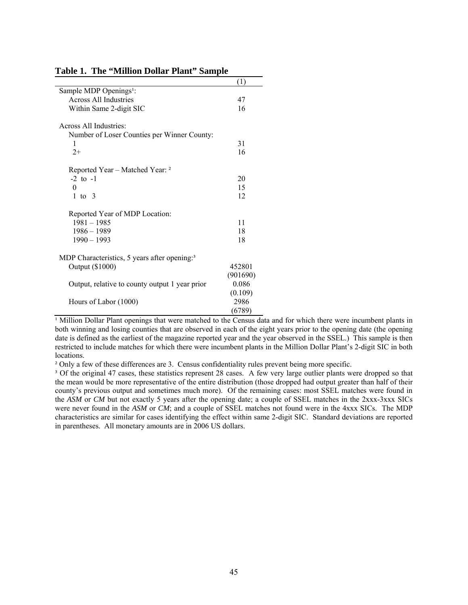|                                                          | (1)      |
|----------------------------------------------------------|----------|
| Sample MDP Openings <sup>1</sup> :                       |          |
| <b>Across All Industries</b>                             | 47       |
| Within Same 2-digit SIC                                  | 16       |
|                                                          |          |
| Across All Industries:                                   |          |
| Number of Loser Counties per Winner County:              |          |
| 1                                                        | 31       |
| $2+$                                                     | 16       |
|                                                          |          |
| Reported Year – Matched Year: <sup>2</sup>               |          |
| $-2$ to $-1$                                             | 20       |
| 0                                                        | 15       |
| $1$ to $3$                                               | 12       |
|                                                          |          |
| Reported Year of MDP Location:                           |          |
| $1981 - 1985$                                            | 11       |
| $1986 - 1989$                                            | 18       |
| $1990 - 1993$                                            | 18       |
|                                                          |          |
| MDP Characteristics, 5 years after opening: <sup>3</sup> |          |
| Output (\$1000)                                          | 452801   |
|                                                          | (901690) |
| Output, relative to county output 1 year prior           | 0.086    |
|                                                          | (0.109)  |
| Hours of Labor (1000)                                    | 2986     |
|                                                          | (6789)   |

### **Table 1. The "Million Dollar Plant" Sample**

 $\frac{1}{1}$  Million Dollar Plant openings that were matched to the Census data and for which there were incumbent plants in both winning and losing counties that are observed in each of the eight years prior to the opening date (the opening date is defined as the earliest of the magazine reported year and the year observed in the SSEL.) This sample is then restricted to include matches for which there were incumbent plants in the Million Dollar Plant's 2-digit SIC in both locations.

² Only a few of these differences are 3. Census confidentiality rules prevent being more specific.

³ Of the original 47 cases, these statistics represent 28 cases. A few very large outlier plants were dropped so that the mean would be more representative of the entire distribution (those dropped had output greater than half of their county's previous output and sometimes much more). Of the remaining cases: most SSEL matches were found in the *ASM* or *CM* but not exactly 5 years after the opening date; a couple of SSEL matches in the 2xxx-3xxx SICs were never found in the *ASM* or *CM*; and a couple of SSEL matches not found were in the 4xxx SICs. The MDP characteristics are similar for cases identifying the effect within same 2-digit SIC. Standard deviations are reported in parentheses. All monetary amounts are in 2006 US dollars.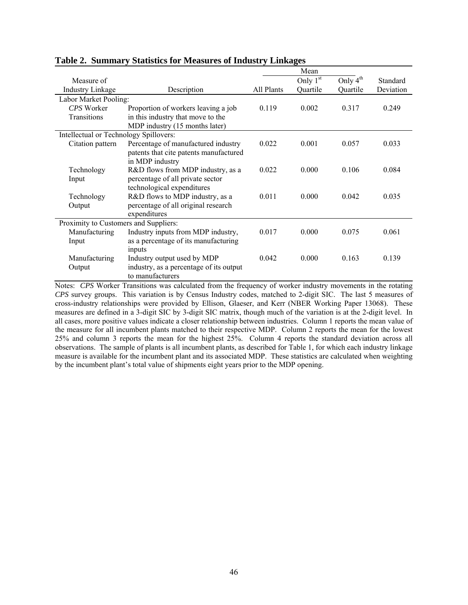|                                        |                                         |            | Mean       |               |           |
|----------------------------------------|-----------------------------------------|------------|------------|---------------|-----------|
| Measure of                             |                                         |            | Only $1st$ | Only $4^{th}$ | Standard  |
| <b>Industry Linkage</b>                | Description                             | All Plants | Quartile   | Quartile      | Deviation |
| Labor Market Pooling:                  |                                         |            |            |               |           |
| CPS Worker                             | Proportion of workers leaving a job     | 0.119      | 0.002      | 0.317         | 0.249     |
| Transitions                            | in this industry that move to the       |            |            |               |           |
|                                        | MDP industry (15 months later)          |            |            |               |           |
| Intellectual or Technology Spillovers: |                                         |            |            |               |           |
| Citation pattern                       | Percentage of manufactured industry     | 0.022      | 0.001      | 0.057         | 0.033     |
|                                        | patents that cite patents manufactured  |            |            |               |           |
|                                        | in MDP industry                         |            |            |               |           |
| Technology                             | R&D flows from MDP industry, as a       | 0.022      | 0.000      | 0.106         | 0.084     |
| Input                                  | percentage of all private sector        |            |            |               |           |
|                                        | technological expenditures              |            |            |               |           |
| Technology                             | R&D flows to MDP industry, as a         | 0.011      | 0.000      | 0.042         | 0.035     |
| Output                                 | percentage of all original research     |            |            |               |           |
|                                        | expenditures                            |            |            |               |           |
| Proximity to Customers and Suppliers:  |                                         |            |            |               |           |
| Manufacturing                          | Industry inputs from MDP industry,      | 0.017      | 0.000      | 0.075         | 0.061     |
| Input                                  | as a percentage of its manufacturing    |            |            |               |           |
|                                        | inputs                                  |            |            |               |           |
| Manufacturing                          | Industry output used by MDP             | 0.042      | 0.000      | 0.163         | 0.139     |
| Output                                 | industry, as a percentage of its output |            |            |               |           |
|                                        | to manufacturers                        |            |            |               |           |

# **Table 2. Summary Statistics for Measures of Industry Linkages**

Notes: *CPS* Worker Transitions was calculated from the frequency of worker industry movements in the rotating *CPS* survey groups. This variation is by Census Industry codes, matched to 2-digit SIC. The last 5 measures of cross-industry relationships were provided by Ellison, Glaeser, and Kerr (NBER Working Paper 13068). These measures are defined in a 3-digit SIC by 3-digit SIC matrix, though much of the variation is at the 2-digit level. In all cases, more positive values indicate a closer relationship between industries. Column 1 reports the mean value of the measure for all incumbent plants matched to their respective MDP. Column 2 reports the mean for the lowest 25% and column 3 reports the mean for the highest 25%. Column 4 reports the standard deviation across all observations. The sample of plants is all incumbent plants, as described for Table 1, for which each industry linkage measure is available for the incumbent plant and its associated MDP. These statistics are calculated when weighting by the incumbent plant's total value of shipments eight years prior to the MDP opening.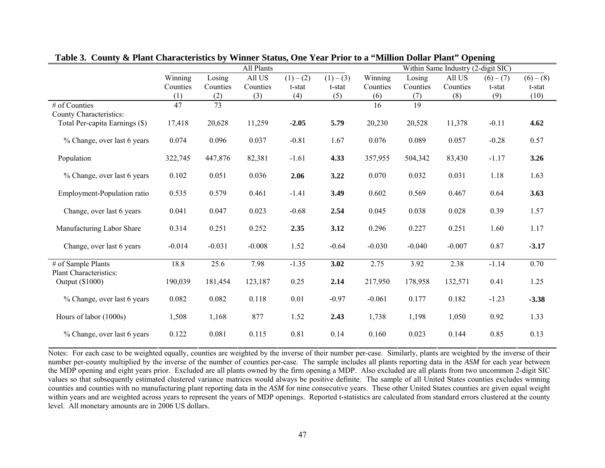|                                |          |          | All Plants |           |             |          |          | Within Same Industry (2-digit SIC) |           |           |
|--------------------------------|----------|----------|------------|-----------|-------------|----------|----------|------------------------------------|-----------|-----------|
|                                | Winning  | Losing   | All US     | $(1)-(2)$ | $(1) - (3)$ | Winning  | Losing   | All US                             | $(6)-(7)$ | $(6)-(8)$ |
|                                | Counties | Counties | Counties   | t-stat    | t-stat      | Counties | Counties | Counties                           | t-stat    | t-stat    |
|                                | (1)      | (2)      | (3)        | (4)       | (5)         | (6)      | (7)      | (8)                                | (9)       | (10)      |
| # of Counties                  | 47       | 73       |            |           |             | 16       | 19       |                                    |           |           |
| County Characteristics:        |          |          |            |           |             |          |          |                                    |           |           |
| Total Per-capita Earnings (\$) | 17,418   | 20,628   | 11,259     | $-2.05$   | 5.79        | 20,230   | 20,528   | 11,378                             | $-0.11$   | 4.62      |
|                                |          |          |            |           |             |          |          |                                    |           |           |
| % Change, over last 6 years    | 0.074    | 0.096    | 0.037      | $-0.81$   | 1.67        | 0.076    | 0.089    | 0.057                              | $-0.28$   | 0.57      |
| Population                     | 322,745  | 447,876  | 82,381     | $-1.61$   | 4.33        | 357,955  | 504,342  | 83,430                             | $-1.17$   | 3.26      |
|                                |          |          |            |           |             |          |          |                                    |           |           |
| % Change, over last 6 years    | 0.102    | 0.051    | 0.036      | 2.06      | 3.22        | 0.070    | 0.032    | 0.031                              | 1.18      | 1.63      |
|                                |          |          |            |           |             |          |          |                                    |           |           |
| Employment-Population ratio    | 0.535    | 0.579    | 0.461      | $-1.41$   | 3.49        | 0.602    | 0.569    | 0.467                              | 0.64      | 3.63      |
|                                |          |          |            |           |             |          |          |                                    |           |           |
| Change, over last 6 years      | 0.041    | 0.047    | 0.023      | $-0.68$   | 2.54        | 0.045    | 0.038    | 0.028                              | 0.39      | 1.57      |
|                                |          |          |            |           |             |          |          |                                    |           |           |
| Manufacturing Labor Share      | 0.314    | 0.251    | 0.252      | 2.35      | 3.12        | 0.296    | 0.227    | 0.251                              | 1.60      | 1.17      |
|                                |          |          |            |           |             |          |          |                                    |           |           |
| Change, over last 6 years      | $-0.014$ | $-0.031$ | $-0.008$   | 1.52      | $-0.64$     | $-0.030$ | $-0.040$ | $-0.007$                           | 0.87      | $-3.17$   |
| # of Sample Plants             | 18.8     | 25.6     | 7.98       | $-1.35$   | 3.02        | 2.75     | 3.92     | 2.38                               | $-1.14$   | 0.70      |
| <b>Plant Characteristics:</b>  |          |          |            |           |             |          |          |                                    |           |           |
| Output (\$1000)                | 190,039  | 181,454  | 123,187    | 0.25      | 2.14        | 217,950  | 178,958  | 132,571                            | 0.41      | 1.25      |
|                                |          |          |            |           |             |          |          |                                    |           |           |
| % Change, over last 6 years    | 0.082    | 0.082    | 0.118      | 0.01      | $-0.97$     | $-0.061$ | 0.177    | 0.182                              | $-1.23$   | $-3.38$   |
|                                |          |          |            |           |             |          |          |                                    |           |           |
| Hours of labor (1000s)         | 1,508    | 1,168    | 877        | 1.52      | 2.43        | 1,738    | 1,198    | 1,050                              | 0.92      | 1.33      |
|                                |          |          |            |           |             |          |          |                                    |           |           |
| % Change, over last 6 years    | 0.122    | 0.081    | 0.115      | 0.81      | 0.14        | 0.160    | 0.023    | 0.144                              | 0.85      | 0.13      |

**Table 3. County & Plant Characteristics by Winner Status, One Year Prior to a "Million Dollar Plant" Opening**

Notes: For each case to be weighted equally, counties are weighted by the inverse of their number per-case. Similarly, plants are weighted by the inverse of their number per-county multiplied by the inverse of the number of counties per-case. The sample includes all plants reporting data in the *ASM* for each year between the MDP opening and eight years prior. Excluded are all plants owned by the firm opening a MDP. Also excluded are all plants from two uncommon 2-digit SIC values so that subsequently estimated clustered variance matrices would always be positive definite. The sample of all United States counties excludes winning counties and counties with no manufacturing plant reporting data in the *ASM* for nine consecutive years. These other United States counties are given equal weight within years and are weighted across years to represent the years of MDP openings. Reported t-statistics are calculated from standard errors clustered at the county level. All monetary amounts are in 2006 US dollars.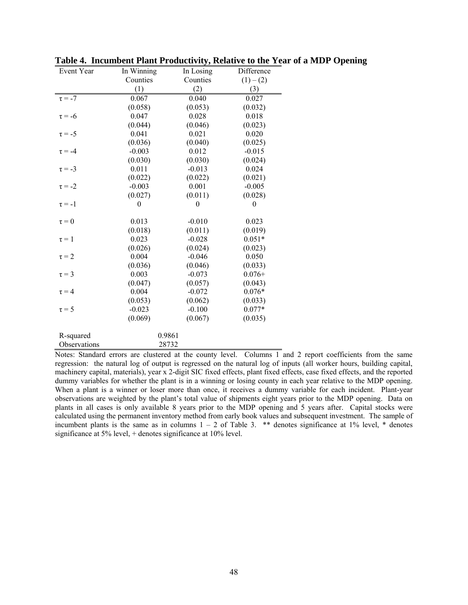| Event Year   | In Winning       | In Losing | Difference |
|--------------|------------------|-----------|------------|
|              | Counties         | Counties  | $(1)-(2)$  |
|              | (1)              | (2)       | (3)        |
| $\tau = -7$  | 0.067            | 0.040     | 0.027      |
|              | (0.058)          | (0.053)   | (0.032)    |
| $\tau = -6$  | 0.047            | 0.028     | 0.018      |
|              | (0.044)          | (0.046)   | (0.023)    |
| $\tau = -5$  | 0.041            | 0.021     | 0.020      |
|              | (0.036)          | (0.040)   | (0.025)    |
| $\tau = -4$  | $-0.003$         | 0.012     | $-0.015$   |
|              | (0.030)          | (0.030)   | (0.024)    |
| $\tau = -3$  | 0.011            | $-0.013$  | 0.024      |
|              | (0.022)          | (0.022)   | (0.021)    |
| $\tau = -2$  | $-0.003$         | 0.001     | $-0.005$   |
|              | (0.027)          | (0.011)   | (0.028)    |
| $\tau = -1$  | $\boldsymbol{0}$ | $\theta$  | $\theta$   |
|              |                  |           |            |
| $\tau = 0$   | 0.013            | $-0.010$  | 0.023      |
|              | (0.018)          | (0.011)   | (0.019)    |
| $\tau = 1$   | 0.023            | $-0.028$  | $0.051*$   |
|              | (0.026)          | (0.024)   | (0.023)    |
| $\tau = 2$   | 0.004            | $-0.046$  | 0.050      |
|              | (0.036)          | (0.046)   | (0.033)    |
| $\tau = 3$   | 0.003            | $-0.073$  | $0.076+$   |
|              | (0.047)          | (0.057)   | (0.043)    |
| $\tau = 4$   | 0.004            | $-0.072$  | $0.076*$   |
|              | (0.053)          | (0.062)   | (0.033)    |
| $\tau = 5$   | $-0.023$         | $-0.100$  | $0.077*$   |
|              | (0.069)          | (0.067)   | (0.035)    |
| R-squared    | 0.9861           |           |            |
| Observations | 28732            |           |            |

**Table 4. Incumbent Plant Productivity, Relative to the Year of a MDP Opening** 

Notes: Standard errors are clustered at the county level. Columns 1 and 2 report coefficients from the same regression: the natural log of output is regressed on the natural log of inputs (all worker hours, building capital, machinery capital, materials), year x 2-digit SIC fixed effects, plant fixed effects, case fixed effects, and the reported dummy variables for whether the plant is in a winning or losing county in each year relative to the MDP opening. When a plant is a winner or loser more than once, it receives a dummy variable for each incident. Plant-year observations are weighted by the plant's total value of shipments eight years prior to the MDP opening. Data on plants in all cases is only available 8 years prior to the MDP opening and 5 years after. Capital stocks were calculated using the permanent inventory method from early book values and subsequent investment. The sample of incumbent plants is the same as in columns  $1 - 2$  of Table 3. \*\* denotes significance at 1% level, \* denotes significance at 5% level, + denotes significance at 10% level.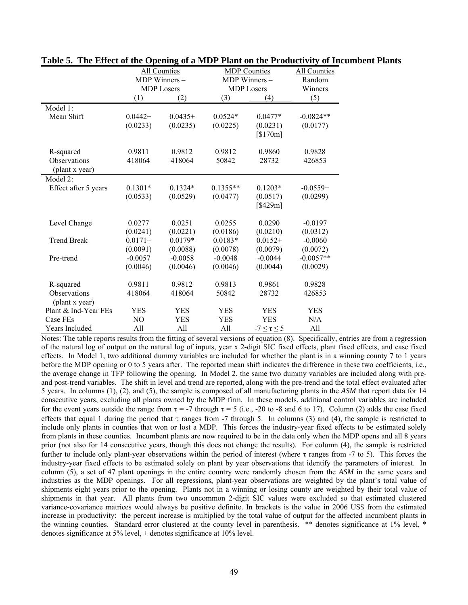|                                       | <b>All Counties</b> |                   | <b>MDP</b> Counties | <b>All Counties</b>   |             |  |
|---------------------------------------|---------------------|-------------------|---------------------|-----------------------|-------------|--|
|                                       |                     | $MDP$ Winners $-$ |                     | MDP Winners -         |             |  |
|                                       |                     | <b>MDP</b> Losers |                     | <b>MDP</b> Losers     | Winners     |  |
|                                       | (1)                 | (2)               | (3)                 | (4)                   | (5)         |  |
| Model 1:                              |                     |                   |                     |                       |             |  |
| Mean Shift                            | $0.0442+$           | $0.0435+$         | $0.0524*$           | $0.0477*$             | $-0.0824**$ |  |
|                                       | (0.0233)            | (0.0235)          | (0.0225)            | (0.0231)              | (0.0177)    |  |
|                                       |                     |                   |                     | $[$170m]$             |             |  |
|                                       |                     | 0.9812            |                     |                       |             |  |
| R-squared                             | 0.9811              |                   | 0.9812              | 0.9860                | 0.9828      |  |
| Observations<br>(plant x year)        | 418064              | 418064            | 50842               | 28732                 | 426853      |  |
| Model 2:                              |                     |                   |                     |                       |             |  |
| Effect after 5 years                  | $0.1301*$           | $0.1324*$         | $0.1355**$          | $0.1203*$             | $-0.0559+$  |  |
|                                       | (0.0533)            | (0.0529)          | (0.0477)            | (0.0517)              | (0.0299)    |  |
|                                       |                     |                   |                     | $[$429m]$             |             |  |
|                                       |                     |                   |                     |                       |             |  |
| Level Change                          | 0.0277              | 0.0251            | 0.0255              | 0.0290                | $-0.0197$   |  |
|                                       | (0.0241)            | (0.0221)          | (0.0186)            | (0.0210)              | (0.0312)    |  |
| <b>Trend Break</b>                    | $0.0171+$           | $0.0179*$         | $0.0183*$           | $0.0152+$             | $-0.0060$   |  |
|                                       | (0.0091)            | (0.0088)          | (0.0078)            | (0.0079)              | (0.0072)    |  |
| Pre-trend                             | $-0.0057$           | $-0.0058$         | $-0.0048$           | $-0.0044$             | $-0.0057**$ |  |
|                                       | (0.0046)            | (0.0046)          | (0.0046)            | (0.0044)              | (0.0029)    |  |
|                                       |                     |                   |                     |                       |             |  |
| R-squared                             | 0.9811              | 0.9812            | 0.9813              | 0.9861                | 0.9828      |  |
| <b>Observations</b><br>(plant x year) | 418064              | 418064            | 50842               | 28732                 | 426853      |  |
| Plant & Ind-Year FEs                  | <b>YES</b>          | <b>YES</b>        | <b>YES</b>          | <b>YES</b>            | <b>YES</b>  |  |
| Case FEs                              | N <sub>O</sub>      | YES               | YES                 | <b>YES</b>            | N/A         |  |
| Years Included                        | All                 | All               | All                 | $-7 \leq \tau \leq 5$ | All         |  |

**Table 5. The Effect of the Opening of a MDP Plant on the Productivity of Incumbent Plants** 

Notes: The table reports results from the fitting of several versions of equation (8). Specifically, entries are from a regression of the natural log of output on the natural log of inputs, year x 2-digit SIC fixed effects, plant fixed effects, and case fixed effects. In Model 1, two additional dummy variables are included for whether the plant is in a winning county 7 to 1 years before the MDP opening or 0 to 5 years after. The reported mean shift indicates the difference in these two coefficients, i.e., the average change in TFP following the opening. In Model 2, the same two dummy variables are included along with preand post-trend variables. The shift in level and trend are reported, along with the pre-trend and the total effect evaluated after 5 years. In columns (1), (2), and (5), the sample is composed of all manufacturing plants in the *ASM* that report data for 14 consecutive years, excluding all plants owned by the MDP firm. In these models, additional control variables are included for the event years outside the range from  $\tau = -7$  through  $\tau = 5$  (i.e., -20 to -8 and 6 to 17). Column (2) adds the case fixed effects that equal 1 during the period that  $\tau$  ranges from -7 through 5. In columns (3) and (4), the sample is restricted to include only plants in counties that won or lost a MDP. This forces the industry-year fixed effects to be estimated solely from plants in these counties. Incumbent plants are now required to be in the data only when the MDP opens and all 8 years prior (not also for 14 consecutive years, though this does not change the results). For column (4), the sample is restricted further to include only plant-year observations within the period of interest (where  $\tau$  ranges from -7 to 5). This forces the industry-year fixed effects to be estimated solely on plant by year observations that identify the parameters of interest. In column (5), a set of 47 plant openings in the entire country were randomly chosen from the *ASM* in the same years and industries as the MDP openings. For all regressions, plant-year observations are weighted by the plant's total value of shipments eight years prior to the opening. Plants not in a winning or losing county are weighted by their total value of shipments in that year. All plants from two uncommon 2-digit SIC values were excluded so that estimated clustered variance-covariance matrices would always be positive definite. In brackets is the value in 2006 US\$ from the estimated increase in productivity: the percent increase is multiplied by the total value of output for the affected incumbent plants in the winning counties. Standard error clustered at the county level in parenthesis. \*\* denotes significance at 1% level, \* denotes significance at 5% level, + denotes significance at 10% level.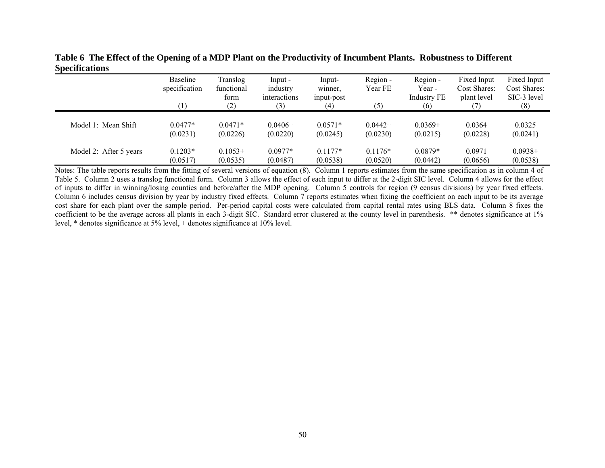|                        | Baseline<br>specification<br>$\left(1\right)$ | Translog<br>functional<br>form<br>(2) | Input -<br>industry<br>interactions<br>(3) | Input-<br>winner,<br>input-post<br>(4) | Region -<br>Year FE<br>(5) | Region -<br>Year -<br>Industry FE<br>(6) | Fixed Input<br>Cost Shares:<br>plant level | Fixed Input<br>Cost Shares:<br>SIC-3 level<br>(8) |
|------------------------|-----------------------------------------------|---------------------------------------|--------------------------------------------|----------------------------------------|----------------------------|------------------------------------------|--------------------------------------------|---------------------------------------------------|
| Model 1: Mean Shift    | $0.0477*$                                     | $0.0471*$                             | $0.0406+$                                  | $0.0571*$                              | $0.0442+$                  | $0.0369+$                                | 0.0364                                     | 0.0325                                            |
|                        | (0.0231)                                      | (0.0226)                              | (0.0220)                                   | (0.0245)                               | (0.0230)                   | (0.0215)                                 | (0.0228)                                   | (0.0241)                                          |
| Model 2: After 5 years | $0.1203*$                                     | $0.1053+$                             | $0.0977*$                                  | $0.1177*$                              | $0.1176*$                  | $0.0879*$                                | 0.0971                                     | $0.0938+$                                         |
|                        | (0.0517)                                      | (0.0535)                              | (0.0487)                                   | (0.0538)                               | (0.0520)                   | (0.0442)                                 | (0.0656)                                   | (0.0538)                                          |

**Table 6 The Effect of the Opening of a MDP Plant on the Productivity of Incumbent Plants. Robustness to Different Specifications** 

Notes: The table reports results from the fitting of several versions of equation (8). Column 1 reports estimates from the same specification as in column 4 of Table 5. Column 2 uses a translog functional form. Column 3 allows the effect of each input to differ at the 2-digit SIC level. Column 4 allows for the effect of inputs to differ in winning/losing counties and before/after the MDP opening. Column 5 controls for region (9 census divisions) by year fixed effects. Column 6 includes census division by year by industry fixed effects. Column 7 reports estimates when fixing the coefficient on each input to be its average cost share for each plant over the sample period. Per-period capital costs were calculated from capital rental rates using BLS data. Column 8 fixes the coefficient to be the average across all plants in each 3-digit SIC. Standard error clustered at the county level in parenthesis. \*\* denotes significance at 1% level, \* denotes significance at 5% level, + denotes significance at 10% level.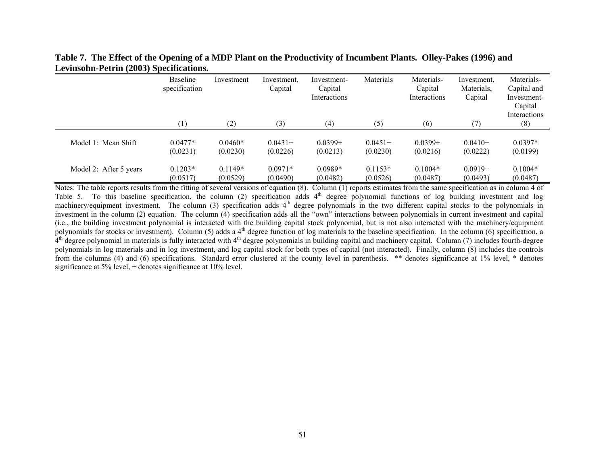|                        | Baseline<br>specification | Investment | Investment,<br>Capital | Investment-<br>Capital<br>Interactions | Materials | Materials-<br>Capital<br>Interactions | Investment.<br>Materials,<br>Capital | Materials-<br>Capital and<br>Investment-<br>Capital<br>Interactions |
|------------------------|---------------------------|------------|------------------------|----------------------------------------|-----------|---------------------------------------|--------------------------------------|---------------------------------------------------------------------|
|                        |                           |            | (3)                    | (4)                                    | (5)       | (6)                                   |                                      | (8)                                                                 |
| Model 1: Mean Shift    | $0.0477*$                 | $0.0460*$  | $0.0431+$              | $0.0399 +$                             | $0.0451+$ | $0.0399 +$                            | $0.0410+$                            | $0.0397*$                                                           |
|                        | (0.0231)                  | (0.0230)   | (0.0226)               | (0.0213)                               | (0.0230)  | (0.0216)                              | (0.0222)                             | (0.0199)                                                            |
| Model 2: After 5 years | $0.1203*$                 | $0.1149*$  | $0.0971*$              | $0.0989*$                              | $0.1153*$ | $0.1004*$                             | $0.0919+$                            | $0.1004*$                                                           |
|                        | (0.0517)                  | (0.0529)   | (0.0490)               | (0.0482)                               | (0.0526)  | (0.0487)                              | (0.0493)                             | (0.0487)                                                            |

**Table 7. The Effect of the Opening of a MDP Plant on the Productivity of Incumbent Plants. Olley-Pakes (1996) and Levinsohn-Petrin (2003) Specifications.** 

Notes: The table reports results from the fitting of several versions of equation (8). Column (1) reports estimates from the same specification as in column 4 of Table 5. To this baseline specification, the column (2) specification adds 4<sup>th</sup> degree polynomial functions of log building investment and log machinery/equipment investment. The column (3) specification adds 4<sup>th</sup> degree polynomials in the two different capital stocks to the polynomials in investment in the column (2) equation. The column (4) specification adds all the "own" interactions between polynomials in current investment and capital (i.e., the building investment polynomial is interacted with the building capital stock polynomial, but is not also interacted with the machinery/equipment polynomials for stocks or investment). Column (5) adds a  $4<sup>th</sup>$  degree function of log materials to the baseline specification. In the column (6) specification, a  $4<sup>th</sup>$  degree polynomial in materials is fully interacted with  $4<sup>th</sup>$  degree polynomials in building capital and machinery capital. Column (7) includes fourth-degree polynomials in log materials and in log investment, and log capital stock for both types of capital (not interacted). Finally, column (8) includes the controls from the columns (4) and (6) specifications. Standard error clustered at the county level in parenthesis. \*\* denotes significance at 1% level, \* denotes significance at 5% level, + denotes significance at 10% level.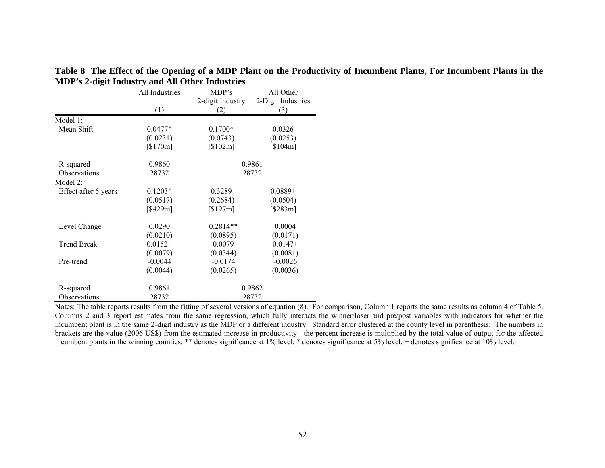|                      | All Industries        | MDP's                 | All Other          |  |  |
|----------------------|-----------------------|-----------------------|--------------------|--|--|
|                      |                       | 2-digit Industry      | 2-Digit Industries |  |  |
|                      | (1)                   | (2)                   | (3)                |  |  |
| Model 1:             |                       |                       |                    |  |  |
| Mean Shift           | $0.0477*$             | $0.1700*$             | 0.0326             |  |  |
|                      | (0.0231)              | (0.0743)              | (0.0253)           |  |  |
|                      | $\lceil $170m \rceil$ | [\$102m]              | $[$104m]$          |  |  |
| R-squared            | 0.9860                |                       | 0.9861             |  |  |
| Observations         | 28732                 | 28732                 |                    |  |  |
| Model 2:             |                       |                       |                    |  |  |
| Effect after 5 years | $0.1203*$             | 0.3289                | $0.0889 +$         |  |  |
|                      | (0.0517)              | (0.2684)              | (0.0504)           |  |  |
|                      | [\$429m]              | $\lceil $197m \rceil$ | [\$283m]           |  |  |
| Level Change         | 0.0290                | $0.2814**$            | 0.0004             |  |  |
|                      | (0.0210)              | (0.0895)              | (0.0171)           |  |  |
| <b>Trend Break</b>   | $0.0152+$             | 0.0079                | $0.0147 +$         |  |  |
|                      | (0.0079)              | (0.0344)              | (0.0081)           |  |  |
| Pre-trend            | $-0.0044$             | $-0.0174$             | $-0.0026$          |  |  |
|                      | (0.0044)              | (0.0265)              | (0.0036)           |  |  |
| R-squared            | 0.9861                |                       | 0.9862             |  |  |
| Observations         | 28732                 |                       | 28732              |  |  |

**Table 8 The Effect of the Opening of a MDP Plant on the Productivity of Incumbent Plants, For Incumbent Plants in the MDP's 2-digit Industry and All Other Industries**   $\overline{\phantom{0}}$ 

Notes: The table reports results from the fitting of several versions of equation (8). For comparison, Column 1 reports the same results as column 4 of Table 5. Columns 2 and 3 report estimates from the same regression, which fully interacts the winner/loser and pre/post variables with indicators for whether the incumbent plant is in the same 2-digit industry as the MDP or a different industry. Standard error clustered at the county level in parenthesis. The numbers in brackets are the value (2006 US\$) from the estimated increase in productivity: the percent increase is multiplied by the total value of output for the affected incumbent plants in the winning counties. \*\* denotes significance at 1% level, \* denotes significance at 5% level, + denotes significance at 10% level.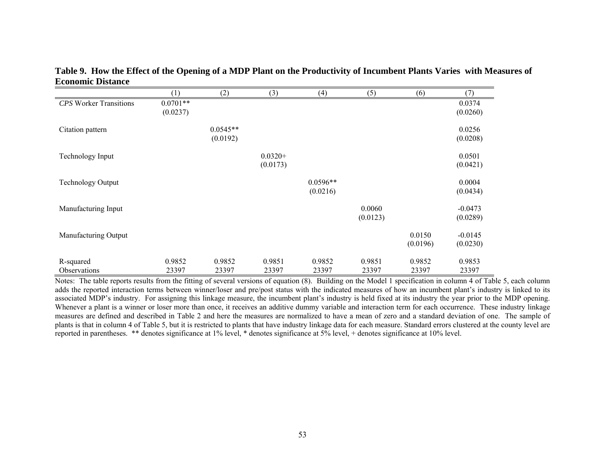| Table 9. How the Effect of the Opening of a MDP Plant on the Productivity of Incumbent Plants Varies with Measures of |  |
|-----------------------------------------------------------------------------------------------------------------------|--|
| <b>Economic Distance</b>                                                                                              |  |

|                               | (1)        | (2)        | (3)       | (4)        | (5)      | (6)      | (7)       |
|-------------------------------|------------|------------|-----------|------------|----------|----------|-----------|
| <b>CPS</b> Worker Transitions | $0.0701**$ |            |           |            |          |          | 0.0374    |
|                               | (0.0237)   |            |           |            |          |          | (0.0260)  |
|                               |            |            |           |            |          |          |           |
| Citation pattern              |            | $0.0545**$ |           |            |          |          | 0.0256    |
|                               |            | (0.0192)   |           |            |          |          | (0.0208)  |
| <b>Technology Input</b>       |            |            | $0.0320+$ |            |          |          | 0.0501    |
|                               |            |            | (0.0173)  |            |          |          | (0.0421)  |
|                               |            |            |           |            |          |          |           |
| <b>Technology Output</b>      |            |            |           | $0.0596**$ |          |          | 0.0004    |
|                               |            |            |           | (0.0216)   |          |          | (0.0434)  |
|                               |            |            |           |            |          |          |           |
| Manufacturing Input           |            |            |           |            | 0.0060   |          | $-0.0473$ |
|                               |            |            |           |            | (0.0123) |          | (0.0289)  |
| Manufacturing Output          |            |            |           |            |          | 0.0150   | $-0.0145$ |
|                               |            |            |           |            |          | (0.0196) | (0.0230)  |
|                               |            |            |           |            |          |          |           |
| R-squared                     | 0.9852     | 0.9852     | 0.9851    | 0.9852     | 0.9851   | 0.9852   | 0.9853    |
| Observations                  | 23397      | 23397      | 23397     | 23397      | 23397    | 23397    | 23397     |

Notes: The table reports results from the fitting of several versions of equation (8). Building on the Model 1 specification in column 4 of Table 5, each column adds the reported interaction terms between winner/loser and pre/post status with the indicated measures of how an incumbent plant's industry is linked to its associated MDP's industry. For assigning this linkage measure, the incumbent plant's industry is held fixed at its industry the year prior to the MDP opening. Whenever a plant is a winner or loser more than once, it receives an additive dummy variable and interaction term for each occurrence. These industry linkage measures are defined and described in Table 2 and here the measures are normalized to have a mean of zero and a standard deviation of one. The sample of plants is that in column 4 of Table 5, but it is restricted to plants that have industry linkage data for each measure. Standard errors clustered at the county level are reported in parentheses. \*\* denotes significance at 1% level, \* denotes significance at 5% level, + denotes significance at 10% level.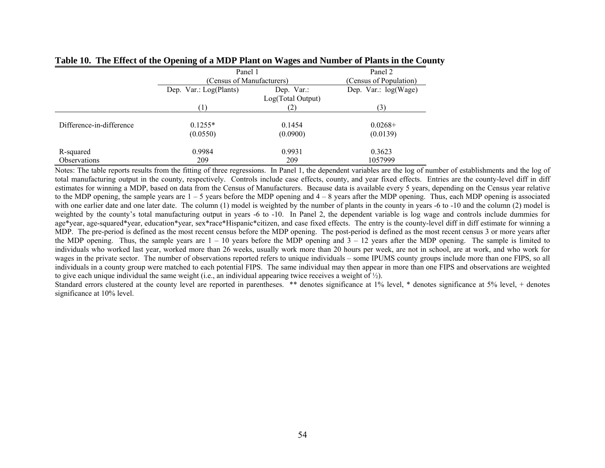|                          | Panel 1                |                           | Panel 2                |  |
|--------------------------|------------------------|---------------------------|------------------------|--|
|                          |                        | (Census of Manufacturers) |                        |  |
|                          | Dep. Var.: Log(Plants) | Dep. $Var$ .:             | Dep. Var.: $log(Wage)$ |  |
|                          |                        | Log(Total Output)         |                        |  |
|                          |                        | (2)                       | (3)                    |  |
|                          |                        |                           |                        |  |
| Difference-in-difference | $0.1255*$              | 0.1454                    | $0.0268+$              |  |
|                          | (0.0550)               | (0.0900)                  | (0.0139)               |  |
| R-squared                | 0.9984                 | 0.9931                    | 0.3623                 |  |
| Observations             | 209                    | 209                       | 1057999                |  |

| Table 10. The Effect of the Opening of a MDP Plant on Wages and Number of Plants in the County |  |  |  |  |  |
|------------------------------------------------------------------------------------------------|--|--|--|--|--|
|------------------------------------------------------------------------------------------------|--|--|--|--|--|

Notes: The table reports results from the fitting of three regressions. In Panel 1, the dependent variables are the log of number of establishments and the log of total manufacturing output in the county, respectively. Controls include case effects, county, and year fixed effects. Entries are the county-level diff in diff estimates for winning a MDP, based on data from the Census of Manufacturers. Because data is available every 5 years, depending on the Census year relative to the MDP opening, the sample years are  $1 - 5$  years before the MDP opening and  $4 - 8$  years after the MDP opening. Thus, each MDP opening is associated with one earlier date and one later date. The column (1) model is weighted by the number of plants in the county in years -6 to -10 and the column (2) model is weighted by the county's total manufacturing output in years -6 to -10. In Panel 2, the dependent variable is log wage and controls include dummies for age\*year, age-squared\*year, education\*year, sex\*race\*Hispanic\*citizen, and case fixed effects. The entry is the county-level diff in diff estimate for winning a MDP. The pre-period is defined as the most recent census before the MDP opening. The post-period is defined as the most recent census 3 or more years after the MDP opening. Thus, the sample years are  $1 - 10$  years before the MDP opening and  $3 - 12$  years after the MDP opening. The sample is limited to individuals who worked last year, worked more than 26 weeks, usually work more than 20 hours per week, are not in school, are at work, and who work for wages in the private sector. The number of observations reported refers to unique individuals – some IPUMS county groups include more than one FIPS, so all individuals in a county group were matched to each potential FIPS. The same individual may then appear in more than one FIPS and observations are weighted to give each unique individual the same weight (i.e., an individual appearing twice receives a weight of  $\frac{1}{2}$ ).

Standard errors clustered at the county level are reported in parentheses. \*\* denotes significance at 1% level, \* denotes significance at 5% level, + denotes significance at 10% level.